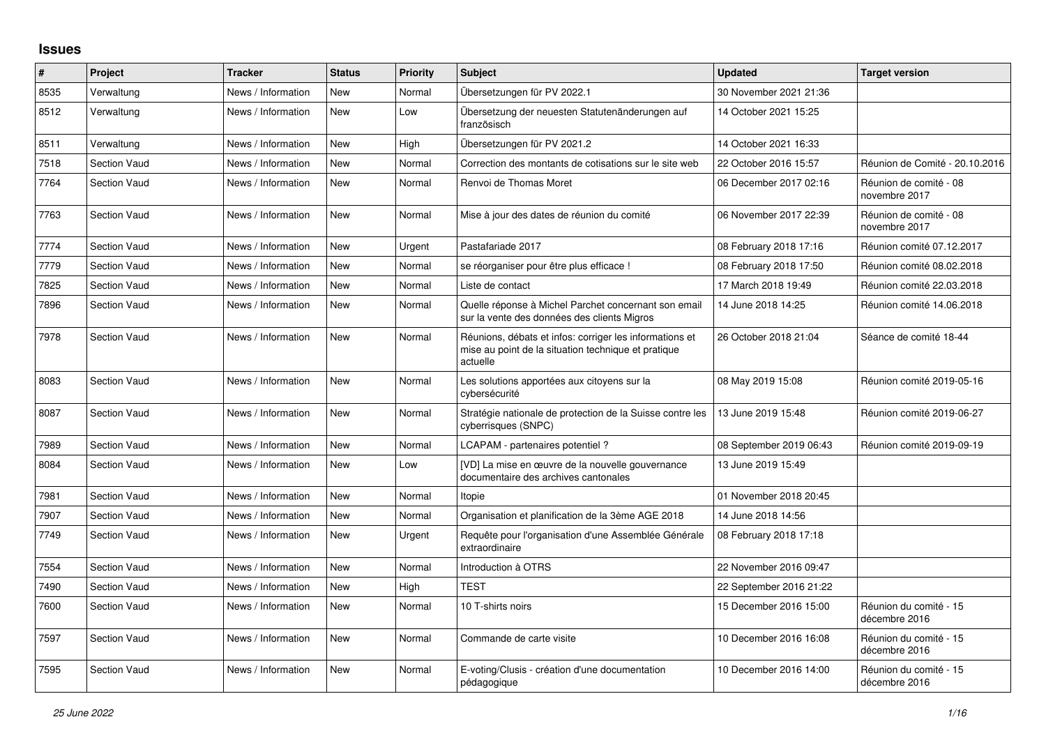## **Issues**

| $\vert$ # | Project             | <b>Tracker</b>     | <b>Status</b> | Priority | <b>Subject</b>                                                                                                             | <b>Updated</b>          | <b>Target version</b>                   |
|-----------|---------------------|--------------------|---------------|----------|----------------------------------------------------------------------------------------------------------------------------|-------------------------|-----------------------------------------|
| 8535      | Verwaltung          | News / Information | <b>New</b>    | Normal   | Übersetzungen für PV 2022.1                                                                                                | 30 November 2021 21:36  |                                         |
| 8512      | Verwaltung          | News / Information | <b>New</b>    | Low      | Übersetzung der neuesten Statutenänderungen auf<br>französisch                                                             | 14 October 2021 15:25   |                                         |
| 8511      | Verwaltung          | News / Information | <b>New</b>    | High     | Übersetzungen für PV 2021.2                                                                                                | 14 October 2021 16:33   |                                         |
| 7518      | <b>Section Vaud</b> | News / Information | <b>New</b>    | Normal   | Correction des montants de cotisations sur le site web                                                                     | 22 October 2016 15:57   | Réunion de Comité - 20.10.2016          |
| 7764      | <b>Section Vaud</b> | News / Information | <b>New</b>    | Normal   | Renvoi de Thomas Moret                                                                                                     | 06 December 2017 02:16  | Réunion de comité - 08<br>novembre 2017 |
| 7763      | <b>Section Vaud</b> | News / Information | New           | Normal   | Mise à jour des dates de réunion du comité                                                                                 | 06 November 2017 22:39  | Réunion de comité - 08<br>novembre 2017 |
| 7774      | <b>Section Vaud</b> | News / Information | <b>New</b>    | Urgent   | Pastafariade 2017                                                                                                          | 08 February 2018 17:16  | Réunion comité 07.12.2017               |
| 7779      | <b>Section Vaud</b> | News / Information | <b>New</b>    | Normal   | se réorganiser pour être plus efficace !                                                                                   | 08 February 2018 17:50  | Réunion comité 08.02.2018               |
| 7825      | <b>Section Vaud</b> | News / Information | New           | Normal   | Liste de contact                                                                                                           | 17 March 2018 19:49     | Réunion comité 22.03.2018               |
| 7896      | <b>Section Vaud</b> | News / Information | <b>New</b>    | Normal   | Quelle réponse à Michel Parchet concernant son email<br>sur la vente des données des clients Migros                        | 14 June 2018 14:25      | Réunion comité 14.06.2018               |
| 7978      | <b>Section Vaud</b> | News / Information | <b>New</b>    | Normal   | Réunions, débats et infos: corriger les informations et<br>mise au point de la situation technique et pratique<br>actuelle | 26 October 2018 21:04   | Séance de comité 18-44                  |
| 8083      | <b>Section Vaud</b> | News / Information | <b>New</b>    | Normal   | Les solutions apportées aux citoyens sur la<br>cybersécurité                                                               | 08 May 2019 15:08       | Réunion comité 2019-05-16               |
| 8087      | <b>Section Vaud</b> | News / Information | <b>New</b>    | Normal   | Stratégie nationale de protection de la Suisse contre les<br>cyberrisques (SNPC)                                           | 13 June 2019 15:48      | Réunion comité 2019-06-27               |
| 7989      | <b>Section Vaud</b> | News / Information | <b>New</b>    | Normal   | LCAPAM - partenaires potentiel?                                                                                            | 08 September 2019 06:43 | Réunion comité 2019-09-19               |
| 8084      | <b>Section Vaud</b> | News / Information | <b>New</b>    | Low      | [VD] La mise en œuvre de la nouvelle gouvernance<br>documentaire des archives cantonales                                   | 13 June 2019 15:49      |                                         |
| 7981      | <b>Section Vaud</b> | News / Information | <b>New</b>    | Normal   | Itopie                                                                                                                     | 01 November 2018 20:45  |                                         |
| 7907      | <b>Section Vaud</b> | News / Information | <b>New</b>    | Normal   | Organisation et planification de la 3ème AGE 2018                                                                          | 14 June 2018 14:56      |                                         |
| 7749      | <b>Section Vaud</b> | News / Information | <b>New</b>    | Urgent   | Requête pour l'organisation d'une Assemblée Générale<br>extraordinaire                                                     | 08 February 2018 17:18  |                                         |
| 7554      | Section Vaud        | News / Information | <b>New</b>    | Normal   | Introduction à OTRS                                                                                                        | 22 November 2016 09:47  |                                         |
| 7490      | <b>Section Vaud</b> | News / Information | <b>New</b>    | High     | <b>TEST</b>                                                                                                                | 22 September 2016 21:22 |                                         |
| 7600      | <b>Section Vaud</b> | News / Information | <b>New</b>    | Normal   | 10 T-shirts noirs                                                                                                          | 15 December 2016 15:00  | Réunion du comité - 15<br>décembre 2016 |
| 7597      | Section Vaud        | News / Information | <b>New</b>    | Normal   | Commande de carte visite                                                                                                   | 10 December 2016 16:08  | Réunion du comité - 15<br>décembre 2016 |
| 7595      | <b>Section Vaud</b> | News / Information | <b>New</b>    | Normal   | E-voting/Clusis - création d'une documentation<br>pédagogique                                                              | 10 December 2016 14:00  | Réunion du comité - 15<br>décembre 2016 |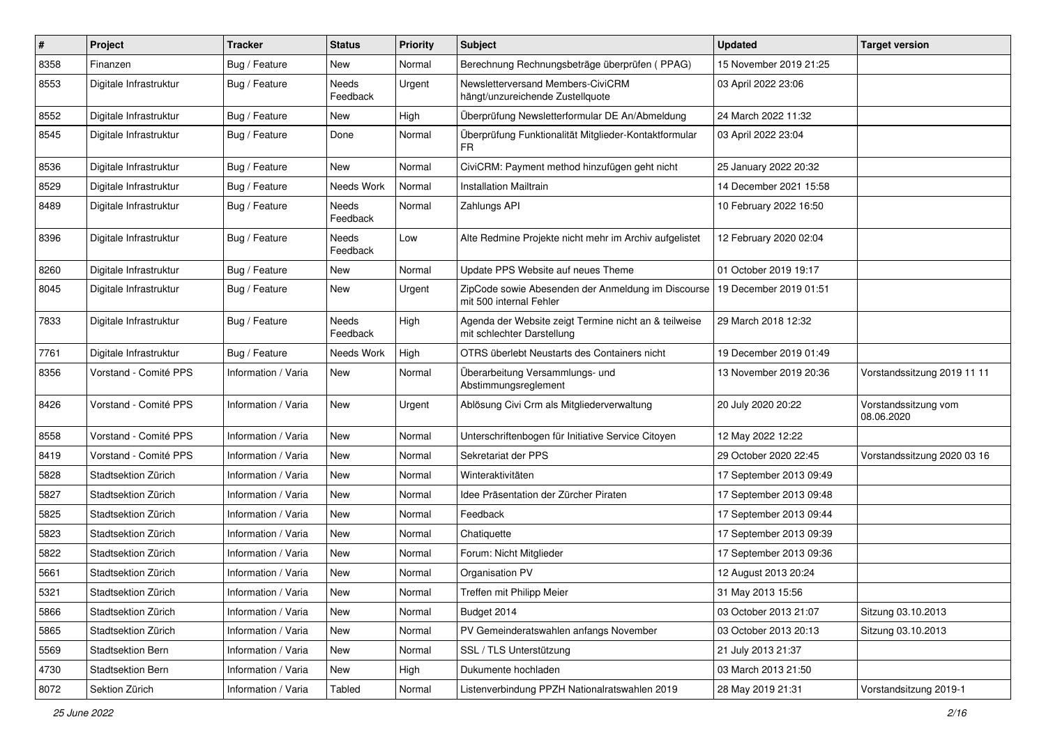| #    | <b>Project</b>         | <b>Tracker</b>      | <b>Status</b>     | <b>Priority</b> | Subject                                                                             | <b>Updated</b>          | <b>Target version</b>              |
|------|------------------------|---------------------|-------------------|-----------------|-------------------------------------------------------------------------------------|-------------------------|------------------------------------|
| 8358 | Finanzen               | Bug / Feature       | New               | Normal          | Berechnung Rechnungsbeträge überprüfen (PPAG)                                       | 15 November 2019 21:25  |                                    |
| 8553 | Digitale Infrastruktur | Bug / Feature       | Needs<br>Feedback | Urgent          | Newsletterversand Members-CiviCRM<br>hängt/unzureichende Zustellquote               | 03 April 2022 23:06     |                                    |
| 8552 | Digitale Infrastruktur | Bug / Feature       | New               | High            | Überprüfung Newsletterformular DE An/Abmeldung                                      | 24 March 2022 11:32     |                                    |
| 8545 | Digitale Infrastruktur | Bug / Feature       | Done              | Normal          | Überprüfung Funktionalität Mitglieder-Kontaktformular<br>FR                         | 03 April 2022 23:04     |                                    |
| 8536 | Digitale Infrastruktur | Bug / Feature       | New               | Normal          | CiviCRM: Payment method hinzufügen geht nicht                                       | 25 January 2022 20:32   |                                    |
| 8529 | Digitale Infrastruktur | Bug / Feature       | Needs Work        | Normal          | <b>Installation Mailtrain</b>                                                       | 14 December 2021 15:58  |                                    |
| 8489 | Digitale Infrastruktur | Bug / Feature       | Needs<br>Feedback | Normal          | Zahlungs API                                                                        | 10 February 2022 16:50  |                                    |
| 8396 | Digitale Infrastruktur | Bug / Feature       | Needs<br>Feedback | Low             | Alte Redmine Projekte nicht mehr im Archiv aufgelistet                              | 12 February 2020 02:04  |                                    |
| 8260 | Digitale Infrastruktur | Bug / Feature       | <b>New</b>        | Normal          | Update PPS Website auf neues Theme                                                  | 01 October 2019 19:17   |                                    |
| 8045 | Digitale Infrastruktur | Bug / Feature       | New               | Urgent          | ZipCode sowie Abesenden der Anmeldung im Discourse<br>mit 500 internal Fehler       | 19 December 2019 01:51  |                                    |
| 7833 | Digitale Infrastruktur | Bug / Feature       | Needs<br>Feedback | High            | Agenda der Website zeigt Termine nicht an & teilweise<br>mit schlechter Darstellung | 29 March 2018 12:32     |                                    |
| 7761 | Digitale Infrastruktur | Bug / Feature       | Needs Work        | High            | OTRS überlebt Neustarts des Containers nicht                                        | 19 December 2019 01:49  |                                    |
| 8356 | Vorstand - Comité PPS  | Information / Varia | New               | Normal          | Überarbeitung Versammlungs- und<br>Abstimmungsreglement                             | 13 November 2019 20:36  | Vorstandssitzung 2019 11 11        |
| 8426 | Vorstand - Comité PPS  | Information / Varia | <b>New</b>        | Urgent          | Ablösung Civi Crm als Mitgliederverwaltung                                          | 20 July 2020 20:22      | Vorstandssitzung vom<br>08.06.2020 |
| 8558 | Vorstand - Comité PPS  | Information / Varia | <b>New</b>        | Normal          | Unterschriftenbogen für Initiative Service Citoyen                                  | 12 May 2022 12:22       |                                    |
| 8419 | Vorstand - Comité PPS  | Information / Varia | <b>New</b>        | Normal          | Sekretariat der PPS                                                                 | 29 October 2020 22:45   | Vorstandssitzung 2020 03 16        |
| 5828 | Stadtsektion Zürich    | Information / Varia | New               | Normal          | Winteraktivitäten                                                                   | 17 September 2013 09:49 |                                    |
| 5827 | Stadtsektion Zürich    | Information / Varia | New               | Normal          | Idee Präsentation der Zürcher Piraten                                               | 17 September 2013 09:48 |                                    |
| 5825 | Stadtsektion Zürich    | Information / Varia | New               | Normal          | Feedback                                                                            | 17 September 2013 09:44 |                                    |
| 5823 | Stadtsektion Zürich    | Information / Varia | New               | Normal          | Chatiquette                                                                         | 17 September 2013 09:39 |                                    |
| 5822 | Stadtsektion Zürich    | Information / Varia | <b>New</b>        | Normal          | Forum: Nicht Mitglieder                                                             | 17 September 2013 09:36 |                                    |
| 5661 | Stadtsektion Zürich    | Information / Varia | New               | Normal          | Organisation PV                                                                     | 12 August 2013 20:24    |                                    |
| 5321 | Stadtsektion Zürich    | Information / Varia | New               | Normal          | Treffen mit Philipp Meier                                                           | 31 May 2013 15:56       |                                    |
| 5866 | Stadtsektion Zürich    | Information / Varia | New               | Normal          | Budget 2014                                                                         | 03 October 2013 21:07   | Sitzung 03.10.2013                 |
| 5865 | Stadtsektion Zürich    | Information / Varia | New               | Normal          | PV Gemeinderatswahlen anfangs November                                              | 03 October 2013 20:13   | Sitzung 03.10.2013                 |
| 5569 | Stadtsektion Bern      | Information / Varia | New               | Normal          | SSL / TLS Unterstützung                                                             | 21 July 2013 21:37      |                                    |
| 4730 | Stadtsektion Bern      | Information / Varia | New               | High            | Dukumente hochladen                                                                 | 03 March 2013 21:50     |                                    |
| 8072 | Sektion Zürich         | Information / Varia | Tabled            | Normal          | Listenverbindung PPZH Nationalratswahlen 2019                                       | 28 May 2019 21:31       | Vorstandsitzung 2019-1             |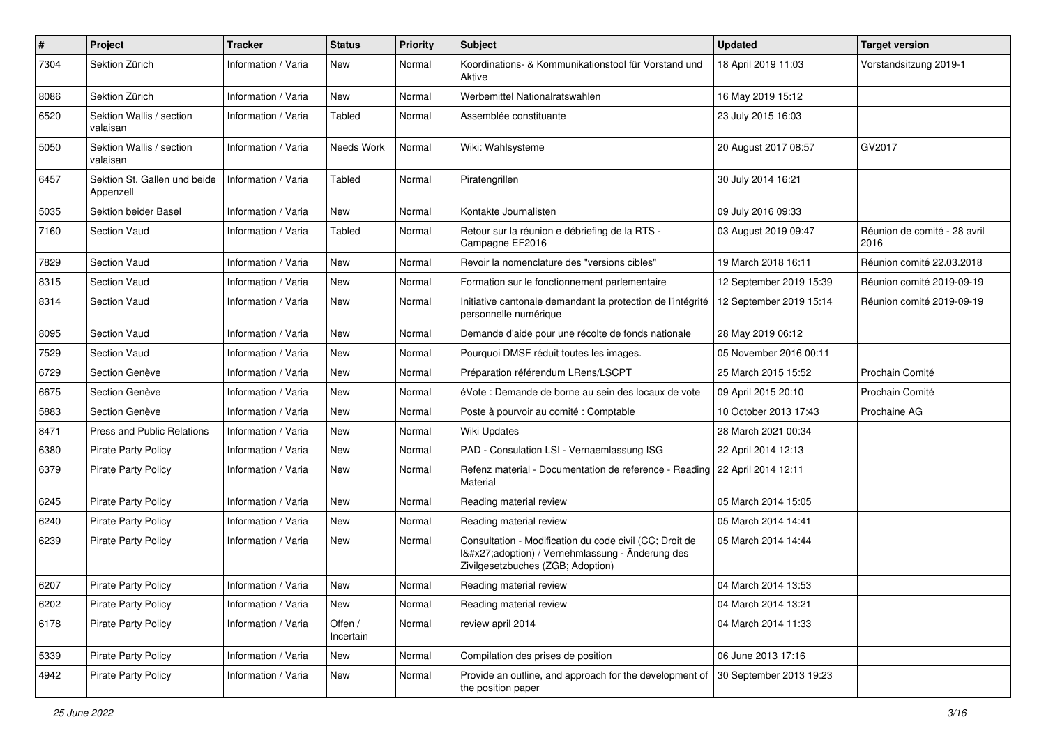| $\pmb{\#}$ | Project                                   | <b>Tracker</b>      | <b>Status</b>        | <b>Priority</b> | <b>Subject</b>                                                                                                                              | <b>Updated</b>          | <b>Target version</b>                |
|------------|-------------------------------------------|---------------------|----------------------|-----------------|---------------------------------------------------------------------------------------------------------------------------------------------|-------------------------|--------------------------------------|
| 7304       | Sektion Zürich                            | Information / Varia | New                  | Normal          | Koordinations- & Kommunikationstool für Vorstand und<br>Aktive                                                                              | 18 April 2019 11:03     | Vorstandsitzung 2019-1               |
| 8086       | Sektion Zürich                            | Information / Varia | <b>New</b>           | Normal          | Werbemittel Nationalratswahlen                                                                                                              | 16 May 2019 15:12       |                                      |
| 6520       | Sektion Wallis / section<br>valaisan      | Information / Varia | Tabled               | Normal          | Assemblée constituante                                                                                                                      | 23 July 2015 16:03      |                                      |
| 5050       | Sektion Wallis / section<br>valaisan      | Information / Varia | Needs Work           | Normal          | Wiki: Wahlsysteme                                                                                                                           | 20 August 2017 08:57    | GV2017                               |
| 6457       | Sektion St. Gallen und beide<br>Appenzell | Information / Varia | Tabled               | Normal          | Piratengrillen                                                                                                                              | 30 July 2014 16:21      |                                      |
| 5035       | Sektion beider Basel                      | Information / Varia | <b>New</b>           | Normal          | Kontakte Journalisten                                                                                                                       | 09 July 2016 09:33      |                                      |
| 7160       | <b>Section Vaud</b>                       | Information / Varia | Tabled               | Normal          | Retour sur la réunion e débriefing de la RTS -<br>Campagne EF2016                                                                           | 03 August 2019 09:47    | Réunion de comité - 28 avril<br>2016 |
| 7829       | Section Vaud                              | Information / Varia | <b>New</b>           | Normal          | Revoir la nomenclature des "versions cibles"                                                                                                | 19 March 2018 16:11     | Réunion comité 22.03.2018            |
| 8315       | <b>Section Vaud</b>                       | Information / Varia | <b>New</b>           | Normal          | Formation sur le fonctionnement parlementaire                                                                                               | 12 September 2019 15:39 | Réunion comité 2019-09-19            |
| 8314       | Section Vaud                              | Information / Varia | <b>New</b>           | Normal          | Initiative cantonale demandant la protection de l'intégrité<br>personnelle numérique                                                        | 12 September 2019 15:14 | Réunion comité 2019-09-19            |
| 8095       | <b>Section Vaud</b>                       | Information / Varia | <b>New</b>           | Normal          | Demande d'aide pour une récolte de fonds nationale                                                                                          | 28 May 2019 06:12       |                                      |
| 7529       | Section Vaud                              | Information / Varia | <b>New</b>           | Normal          | Pourquoi DMSF réduit toutes les images.                                                                                                     | 05 November 2016 00:11  |                                      |
| 6729       | Section Genève                            | Information / Varia | <b>New</b>           | Normal          | Préparation référendum LRens/LSCPT                                                                                                          | 25 March 2015 15:52     | Prochain Comité                      |
| 6675       | Section Genève                            | Information / Varia | <b>New</b>           | Normal          | éVote : Demande de borne au sein des locaux de vote                                                                                         | 09 April 2015 20:10     | Prochain Comité                      |
| 5883       | Section Genève                            | Information / Varia | <b>New</b>           | Normal          | Poste à pourvoir au comité : Comptable                                                                                                      | 10 October 2013 17:43   | Prochaine AG                         |
| 8471       | Press and Public Relations                | Information / Varia | <b>New</b>           | Normal          | Wiki Updates                                                                                                                                | 28 March 2021 00:34     |                                      |
| 6380       | Pirate Party Policy                       | Information / Varia | <b>New</b>           | Normal          | PAD - Consulation LSI - Vernaemlassung ISG                                                                                                  | 22 April 2014 12:13     |                                      |
| 6379       | <b>Pirate Party Policy</b>                | Information / Varia | New                  | Normal          | Refenz material - Documentation de reference - Reading<br>Material                                                                          | 22 April 2014 12:11     |                                      |
| 6245       | <b>Pirate Party Policy</b>                | Information / Varia | <b>New</b>           | Normal          | Reading material review                                                                                                                     | 05 March 2014 15:05     |                                      |
| 6240       | <b>Pirate Party Policy</b>                | Information / Varia | New                  | Normal          | Reading material review                                                                                                                     | 05 March 2014 14:41     |                                      |
| 6239       | <b>Pirate Party Policy</b>                | Information / Varia | New                  | Normal          | Consultation - Modification du code civil (CC; Droit de<br>1'adoption) / Vernehmlassung - Änderung des<br>Zivilgesetzbuches (ZGB; Adoption) | 05 March 2014 14:44     |                                      |
| 6207       | <b>Pirate Party Policy</b>                | Information / Varia | New                  | Normal          | Reading material review                                                                                                                     | 04 March 2014 13:53     |                                      |
| 6202       | <b>Pirate Party Policy</b>                | Information / Varia | New                  | Normal          | Reading material review                                                                                                                     | 04 March 2014 13:21     |                                      |
| 6178       | Pirate Party Policy                       | Information / Varia | Offen /<br>Incertain | Normal          | review april 2014                                                                                                                           | 04 March 2014 11:33     |                                      |
| 5339       | Pirate Party Policy                       | Information / Varia | New                  | Normal          | Compilation des prises de position                                                                                                          | 06 June 2013 17:16      |                                      |
| 4942       | Pirate Party Policy                       | Information / Varia | New                  | Normal          | Provide an outline, and approach for the development of<br>the position paper                                                               | 30 September 2013 19:23 |                                      |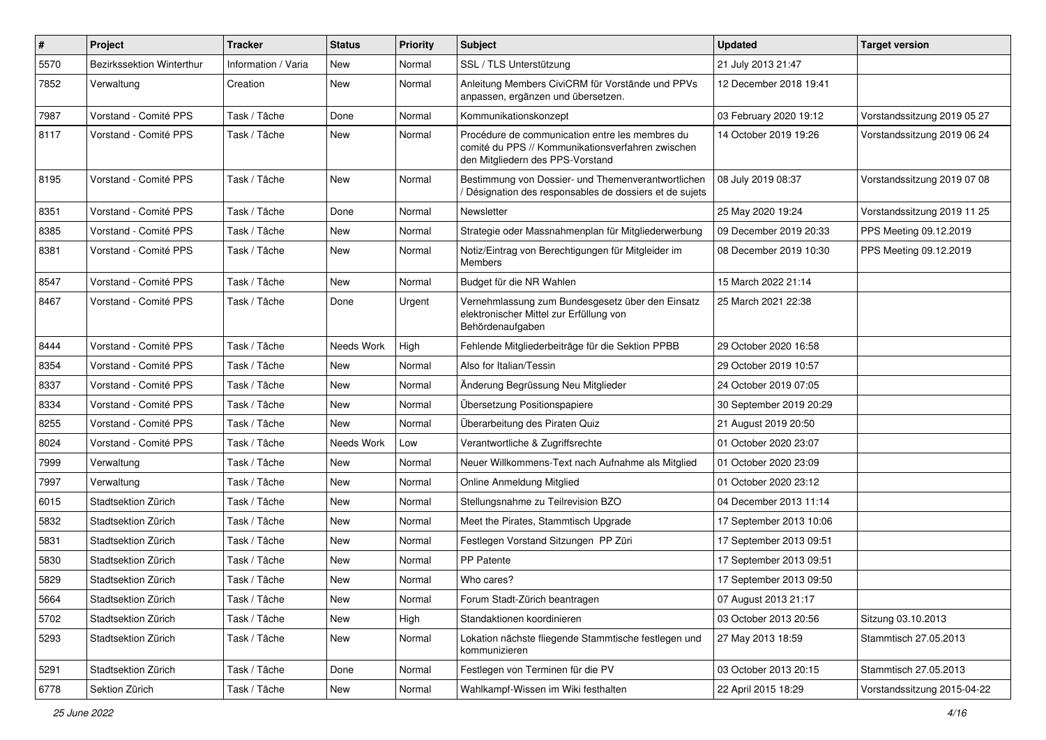| $\#$ | Project                          | <b>Tracker</b>      | <b>Status</b> | <b>Priority</b> | <b>Subject</b>                                                                                                                           | <b>Updated</b>          | <b>Target version</b>       |
|------|----------------------------------|---------------------|---------------|-----------------|------------------------------------------------------------------------------------------------------------------------------------------|-------------------------|-----------------------------|
| 5570 | <b>Bezirkssektion Winterthur</b> | Information / Varia | New           | Normal          | SSL / TLS Unterstützung                                                                                                                  | 21 July 2013 21:47      |                             |
| 7852 | Verwaltung                       | Creation            | <b>New</b>    | Normal          | Anleitung Members CiviCRM für Vorstände und PPVs<br>anpassen, ergänzen und übersetzen.                                                   | 12 December 2018 19:41  |                             |
| 7987 | Vorstand - Comité PPS            | Task / Tâche        | Done          | Normal          | Kommunikationskonzept                                                                                                                    | 03 February 2020 19:12  | Vorstandssitzung 2019 05 27 |
| 8117 | Vorstand - Comité PPS            | Task / Tâche        | New           | Normal          | Procédure de communication entre les membres du<br>comité du PPS // Kommunikationsverfahren zwischen<br>den Mitgliedern des PPS-Vorstand | 14 October 2019 19:26   | Vorstandssitzung 2019 06 24 |
| 8195 | Vorstand - Comité PPS            | Task / Tâche        | New           | Normal          | Bestimmung von Dossier- und Themenverantwortlichen<br>Désignation des responsables de dossiers et de sujets                              | 08 July 2019 08:37      | Vorstandssitzung 2019 07 08 |
| 8351 | Vorstand - Comité PPS            | Task / Tâche        | Done          | Normal          | Newsletter                                                                                                                               | 25 May 2020 19:24       | Vorstandssitzung 2019 11 25 |
| 8385 | Vorstand - Comité PPS            | Task / Tâche        | New           | Normal          | Strategie oder Massnahmenplan für Mitgliederwerbung                                                                                      | 09 December 2019 20:33  | PPS Meeting 09.12.2019      |
| 8381 | Vorstand - Comité PPS            | Task / Tâche        | New           | Normal          | Notiz/Eintrag von Berechtigungen für Mitgleider im<br><b>Members</b>                                                                     | 08 December 2019 10:30  | PPS Meeting 09.12.2019      |
| 8547 | Vorstand - Comité PPS            | Task / Tâche        | New           | Normal          | Budget für die NR Wahlen                                                                                                                 | 15 March 2022 21:14     |                             |
| 8467 | Vorstand - Comité PPS            | Task / Tâche        | Done          | Urgent          | Vernehmlassung zum Bundesgesetz über den Einsatz<br>elektronischer Mittel zur Erfüllung von<br>Behördenaufgaben                          | 25 March 2021 22:38     |                             |
| 8444 | Vorstand - Comité PPS            | Task / Tâche        | Needs Work    | High            | Fehlende Mitgliederbeiträge für die Sektion PPBB                                                                                         | 29 October 2020 16:58   |                             |
| 8354 | Vorstand - Comité PPS            | Task / Tâche        | New           | Normal          | Also for Italian/Tessin                                                                                                                  | 29 October 2019 10:57   |                             |
| 8337 | Vorstand - Comité PPS            | Task / Tâche        | New           | Normal          | Änderung Begrüssung Neu Mitglieder                                                                                                       | 24 October 2019 07:05   |                             |
| 8334 | Vorstand - Comité PPS            | Task / Tâche        | <b>New</b>    | Normal          | Übersetzung Positionspapiere                                                                                                             | 30 September 2019 20:29 |                             |
| 8255 | Vorstand - Comité PPS            | Task / Tâche        | New           | Normal          | Überarbeitung des Piraten Quiz                                                                                                           | 21 August 2019 20:50    |                             |
| 8024 | Vorstand - Comité PPS            | Task / Tâche        | Needs Work    | Low             | Verantwortliche & Zugriffsrechte                                                                                                         | 01 October 2020 23:07   |                             |
| 7999 | Verwaltung                       | Task / Tâche        | New           | Normal          | Neuer Willkommens-Text nach Aufnahme als Mitglied                                                                                        | 01 October 2020 23:09   |                             |
| 7997 | Verwaltung                       | Task / Tâche        | New           | Normal          | Online Anmeldung Mitglied                                                                                                                | 01 October 2020 23:12   |                             |
| 6015 | Stadtsektion Zürich              | Task / Tâche        | New           | Normal          | Stellungsnahme zu Teilrevision BZO                                                                                                       | 04 December 2013 11:14  |                             |
| 5832 | Stadtsektion Zürich              | Task / Tâche        | New           | Normal          | Meet the Pirates, Stammtisch Upgrade                                                                                                     | 17 September 2013 10:06 |                             |
| 5831 | Stadtsektion Zürich              | Task / Tâche        | New           | Normal          | Festlegen Vorstand Sitzungen PP Züri                                                                                                     | 17 September 2013 09:51 |                             |
| 5830 | Stadtsektion Zürich              | Task / Tâche        | New           | Normal          | PP Patente                                                                                                                               | 17 September 2013 09:51 |                             |
| 5829 | Stadtsektion Zürich              | Task / Tâche        | New           | Normal          | Who cares?                                                                                                                               | 17 September 2013 09:50 |                             |
| 5664 | Stadtsektion Zürich              | Task / Tâche        | New           | Normal          | Forum Stadt-Zürich beantragen                                                                                                            | 07 August 2013 21:17    |                             |
| 5702 | Stadtsektion Zürich              | Task / Tâche        | New           | High            | Standaktionen koordinieren                                                                                                               | 03 October 2013 20:56   | Sitzung 03.10.2013          |
| 5293 | Stadtsektion Zürich              | Task / Tâche        | New           | Normal          | Lokation nächste fliegende Stammtische festlegen und<br>kommunizieren                                                                    | 27 May 2013 18:59       | Stammtisch 27.05.2013       |
| 5291 | Stadtsektion Zürich              | Task / Tâche        | Done          | Normal          | Festlegen von Terminen für die PV                                                                                                        | 03 October 2013 20:15   | Stammtisch 27.05.2013       |
| 6778 | Sektion Zürich                   | Task / Tâche        | New           | Normal          | Wahlkampf-Wissen im Wiki festhalten                                                                                                      | 22 April 2015 18:29     | Vorstandssitzung 2015-04-22 |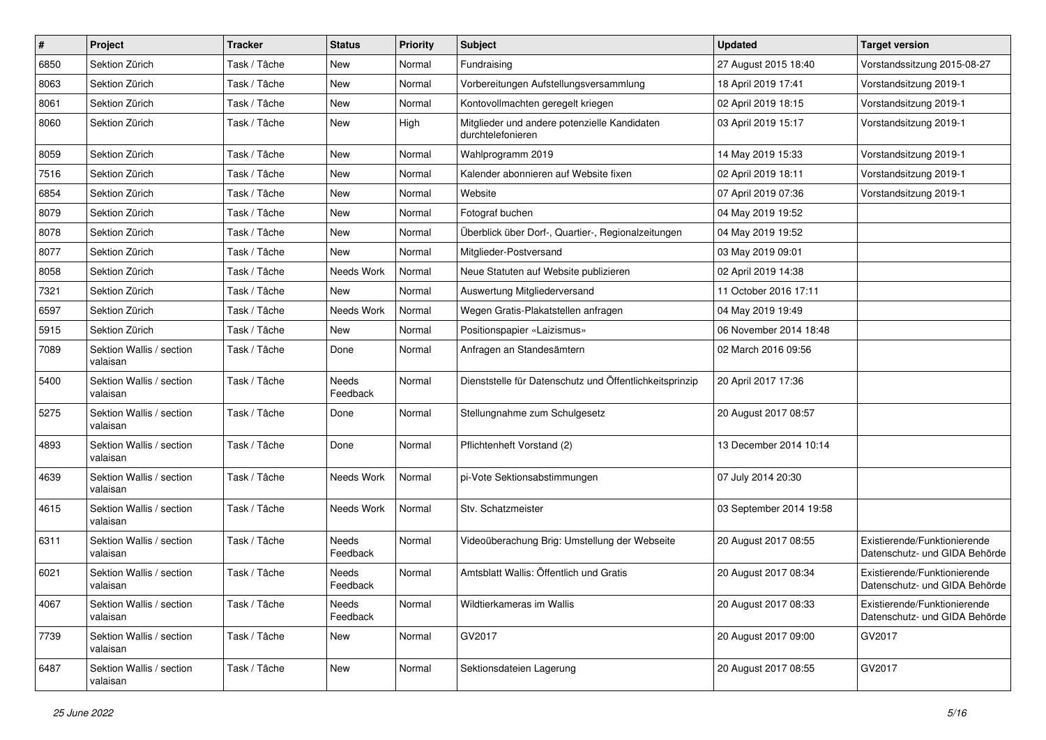| $\pmb{\#}$ | Project                              | <b>Tracker</b> | <b>Status</b>     | <b>Priority</b> | <b>Subject</b>                                                    | <b>Updated</b>          | <b>Target version</b>                                         |
|------------|--------------------------------------|----------------|-------------------|-----------------|-------------------------------------------------------------------|-------------------------|---------------------------------------------------------------|
| 6850       | Sektion Zürich                       | Task / Tâche   | New               | Normal          | Fundraising                                                       | 27 August 2015 18:40    | Vorstandssitzung 2015-08-27                                   |
| 8063       | Sektion Zürich                       | Task / Tâche   | <b>New</b>        | Normal          | Vorbereitungen Aufstellungsversammlung                            | 18 April 2019 17:41     | Vorstandsitzung 2019-1                                        |
| 8061       | Sektion Zürich                       | Task / Tâche   | New               | Normal          | Kontovollmachten geregelt kriegen                                 | 02 April 2019 18:15     | Vorstandsitzung 2019-1                                        |
| 8060       | Sektion Zürich                       | Task / Tâche   | New               | High            | Mitglieder und andere potenzielle Kandidaten<br>durchtelefonieren | 03 April 2019 15:17     | Vorstandsitzung 2019-1                                        |
| 8059       | Sektion Zürich                       | Task / Tâche   | <b>New</b>        | Normal          | Wahlprogramm 2019                                                 | 14 May 2019 15:33       | Vorstandsitzung 2019-1                                        |
| 7516       | Sektion Zürich                       | Task / Tâche   | New               | Normal          | Kalender abonnieren auf Website fixen                             | 02 April 2019 18:11     | Vorstandsitzung 2019-1                                        |
| 6854       | Sektion Zürich                       | Task / Tâche   | New               | Normal          | Website                                                           | 07 April 2019 07:36     | Vorstandsitzung 2019-1                                        |
| 8079       | Sektion Zürich                       | Task / Tâche   | New               | Normal          | Fotograf buchen                                                   | 04 May 2019 19:52       |                                                               |
| 8078       | Sektion Zürich                       | Task / Tâche   | <b>New</b>        | Normal          | Überblick über Dorf-, Quartier-, Regionalzeitungen                | 04 May 2019 19:52       |                                                               |
| 8077       | Sektion Zürich                       | Task / Tâche   | New               | Normal          | Mitglieder-Postversand                                            | 03 May 2019 09:01       |                                                               |
| 8058       | Sektion Zürich                       | Task / Tâche   | Needs Work        | Normal          | Neue Statuten auf Website publizieren                             | 02 April 2019 14:38     |                                                               |
| 7321       | Sektion Zürich                       | Task / Tâche   | <b>New</b>        | Normal          | Auswertung Mitgliederversand                                      | 11 October 2016 17:11   |                                                               |
| 6597       | Sektion Zürich                       | Task / Tâche   | Needs Work        | Normal          | Wegen Gratis-Plakatstellen anfragen                               | 04 May 2019 19:49       |                                                               |
| 5915       | Sektion Zürich                       | Task / Tâche   | <b>New</b>        | Normal          | Positionspapier «Laizismus»                                       | 06 November 2014 18:48  |                                                               |
| 7089       | Sektion Wallis / section<br>valaisan | Task / Tâche   | Done              | Normal          | Anfragen an Standesämtern                                         | 02 March 2016 09:56     |                                                               |
| 5400       | Sektion Wallis / section<br>valaisan | Task / Tâche   | Needs<br>Feedback | Normal          | Dienststelle für Datenschutz und Öffentlichkeitsprinzip           | 20 April 2017 17:36     |                                                               |
| 5275       | Sektion Wallis / section<br>valaisan | Task / Tâche   | Done              | Normal          | Stellungnahme zum Schulgesetz                                     | 20 August 2017 08:57    |                                                               |
| 4893       | Sektion Wallis / section<br>valaisan | Task / Tâche   | Done              | Normal          | Pflichtenheft Vorstand (2)                                        | 13 December 2014 10:14  |                                                               |
| 4639       | Sektion Wallis / section<br>valaisan | Task / Tâche   | Needs Work        | Normal          | pi-Vote Sektionsabstimmungen                                      | 07 July 2014 20:30      |                                                               |
| 4615       | Sektion Wallis / section<br>valaisan | Task / Tâche   | Needs Work        | Normal          | Stv. Schatzmeister                                                | 03 September 2014 19:58 |                                                               |
| 6311       | Sektion Wallis / section<br>valaisan | Task / Tâche   | Needs<br>Feedback | Normal          | Videoüberachung Brig: Umstellung der Webseite                     | 20 August 2017 08:55    | Existierende/Funktionierende<br>Datenschutz- und GIDA Behörde |
| 6021       | Sektion Wallis / section<br>valaisan | Task / Tâche   | Needs<br>Feedback | Normal          | Amtsblatt Wallis: Öffentlich und Gratis                           | 20 August 2017 08:34    | Existierende/Funktionierende<br>Datenschutz- und GIDA Behörde |
| 4067       | Sektion Wallis / section<br>valaisan | Task / Tâche   | Needs<br>Feedback | Normal          | Wildtierkameras im Wallis                                         | 20 August 2017 08:33    | Existierende/Funktionierende<br>Datenschutz- und GIDA Behörde |
| 7739       | Sektion Wallis / section<br>valaisan | Task / Tâche   | New               | Normal          | GV2017                                                            | 20 August 2017 09:00    | GV2017                                                        |
| 6487       | Sektion Wallis / section<br>valaisan | Task / Tâche   | New               | Normal          | Sektionsdateien Lagerung                                          | 20 August 2017 08:55    | GV2017                                                        |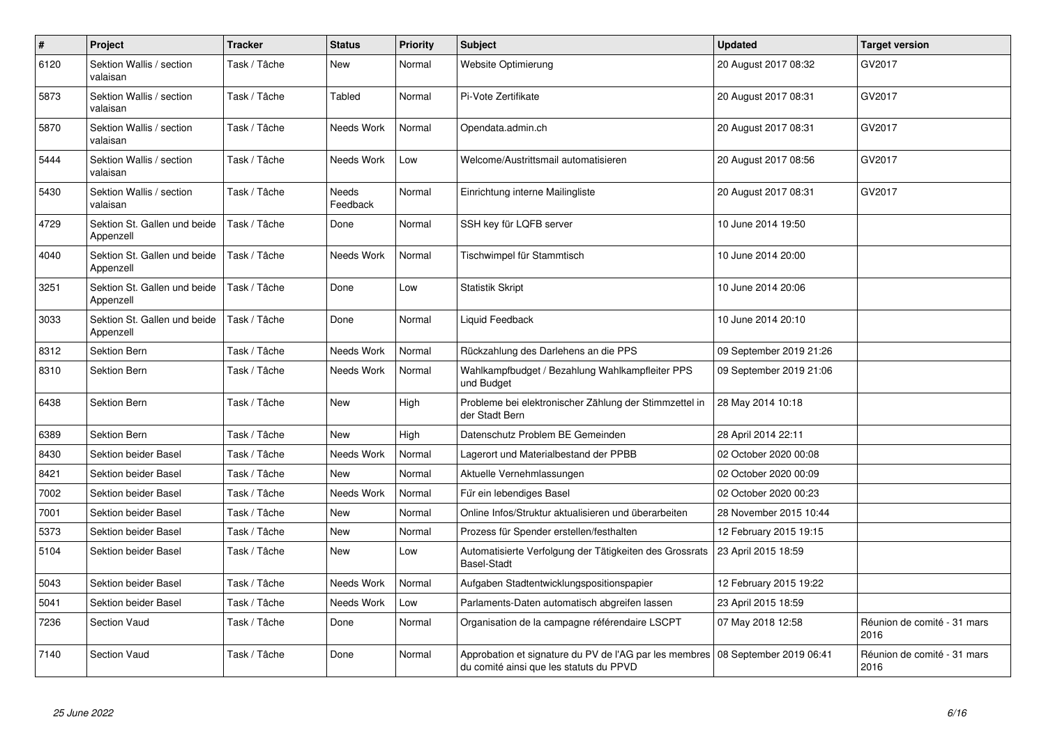| $\#$ | Project                                   | <b>Tracker</b> | <b>Status</b>            | <b>Priority</b> | <b>Subject</b>                                                                                    | <b>Updated</b>          | <b>Target version</b>               |
|------|-------------------------------------------|----------------|--------------------------|-----------------|---------------------------------------------------------------------------------------------------|-------------------------|-------------------------------------|
| 6120 | Sektion Wallis / section<br>valaisan      | Task / Tâche   | New                      | Normal          | Website Optimierung                                                                               | 20 August 2017 08:32    | GV2017                              |
| 5873 | Sektion Wallis / section<br>valaisan      | Task / Tâche   | Tabled                   | Normal          | Pi-Vote Zertifikate                                                                               | 20 August 2017 08:31    | GV2017                              |
| 5870 | Sektion Wallis / section<br>valaisan      | Task / Tâche   | Needs Work               | Normal          | Opendata.admin.ch                                                                                 | 20 August 2017 08:31    | GV2017                              |
| 5444 | Sektion Wallis / section<br>valaisan      | Task / Tâche   | Needs Work               | Low             | Welcome/Austrittsmail automatisieren                                                              | 20 August 2017 08:56    | GV2017                              |
| 5430 | Sektion Wallis / section<br>valaisan      | Task / Tâche   | <b>Needs</b><br>Feedback | Normal          | Einrichtung interne Mailingliste                                                                  | 20 August 2017 08:31    | GV2017                              |
| 4729 | Sektion St. Gallen und beide<br>Appenzell | Task / Tâche   | Done                     | Normal          | SSH key für LQFB server                                                                           | 10 June 2014 19:50      |                                     |
| 4040 | Sektion St. Gallen und beide<br>Appenzell | Task / Tâche   | Needs Work               | Normal          | Tischwimpel für Stammtisch                                                                        | 10 June 2014 20:00      |                                     |
| 3251 | Sektion St. Gallen und beide<br>Appenzell | Task / Tâche   | Done                     | Low             | <b>Statistik Skript</b>                                                                           | 10 June 2014 20:06      |                                     |
| 3033 | Sektion St. Gallen und beide<br>Appenzell | Task / Tâche   | Done                     | Normal          | Liquid Feedback                                                                                   | 10 June 2014 20:10      |                                     |
| 8312 | Sektion Bern                              | Task / Tâche   | Needs Work               | Normal          | Rückzahlung des Darlehens an die PPS                                                              | 09 September 2019 21:26 |                                     |
| 8310 | Sektion Bern                              | Task / Tâche   | Needs Work               | Normal          | Wahlkampfbudget / Bezahlung Wahlkampfleiter PPS<br>und Budget                                     | 09 September 2019 21:06 |                                     |
| 6438 | Sektion Bern                              | Task / Tâche   | <b>New</b>               | High            | Probleme bei elektronischer Zählung der Stimmzettel in<br>der Stadt Bern                          | 28 May 2014 10:18       |                                     |
| 6389 | Sektion Bern                              | Task / Tâche   | New                      | High            | Datenschutz Problem BE Gemeinden                                                                  | 28 April 2014 22:11     |                                     |
| 8430 | Sektion beider Basel                      | Task / Tâche   | Needs Work               | Normal          | Lagerort und Materialbestand der PPBB                                                             | 02 October 2020 00:08   |                                     |
| 8421 | Sektion beider Basel                      | Task / Tâche   | <b>New</b>               | Normal          | Aktuelle Vernehmlassungen                                                                         | 02 October 2020 00:09   |                                     |
| 7002 | Sektion beider Basel                      | Task / Tâche   | Needs Work               | Normal          | Für ein lebendiges Basel                                                                          | 02 October 2020 00:23   |                                     |
| 7001 | Sektion beider Basel                      | Task / Tâche   | <b>New</b>               | Normal          | Online Infos/Struktur aktualisieren und überarbeiten                                              | 28 November 2015 10:44  |                                     |
| 5373 | Sektion beider Basel                      | Task / Tâche   | <b>New</b>               | Normal          | Prozess für Spender erstellen/festhalten                                                          | 12 February 2015 19:15  |                                     |
| 5104 | Sektion beider Basel                      | Task / Tâche   | New                      | Low             | Automatisierte Verfolgung der Tätigkeiten des Grossrats<br><b>Basel-Stadt</b>                     | 23 April 2015 18:59     |                                     |
| 5043 | Sektion beider Basel                      | Task / Tâche   | Needs Work               | Normal          | Aufgaben Stadtentwicklungspositionspapier                                                         | 12 February 2015 19:22  |                                     |
| 5041 | Sektion beider Basel                      | Task / Tâche   | Needs Work               | Low             | Parlaments-Daten automatisch abgreifen lassen                                                     | 23 April 2015 18:59     |                                     |
| 7236 | <b>Section Vaud</b>                       | Task / Tâche   | Done                     | Normal          | Organisation de la campagne référendaire LSCPT                                                    | 07 May 2018 12:58       | Réunion de comité - 31 mars<br>2016 |
| 7140 | Section Vaud                              | Task / Tâche   | Done                     | Normal          | Approbation et signature du PV de l'AG par les membres<br>du comité ainsi que les statuts du PPVD | 08 September 2019 06:41 | Réunion de comité - 31 mars<br>2016 |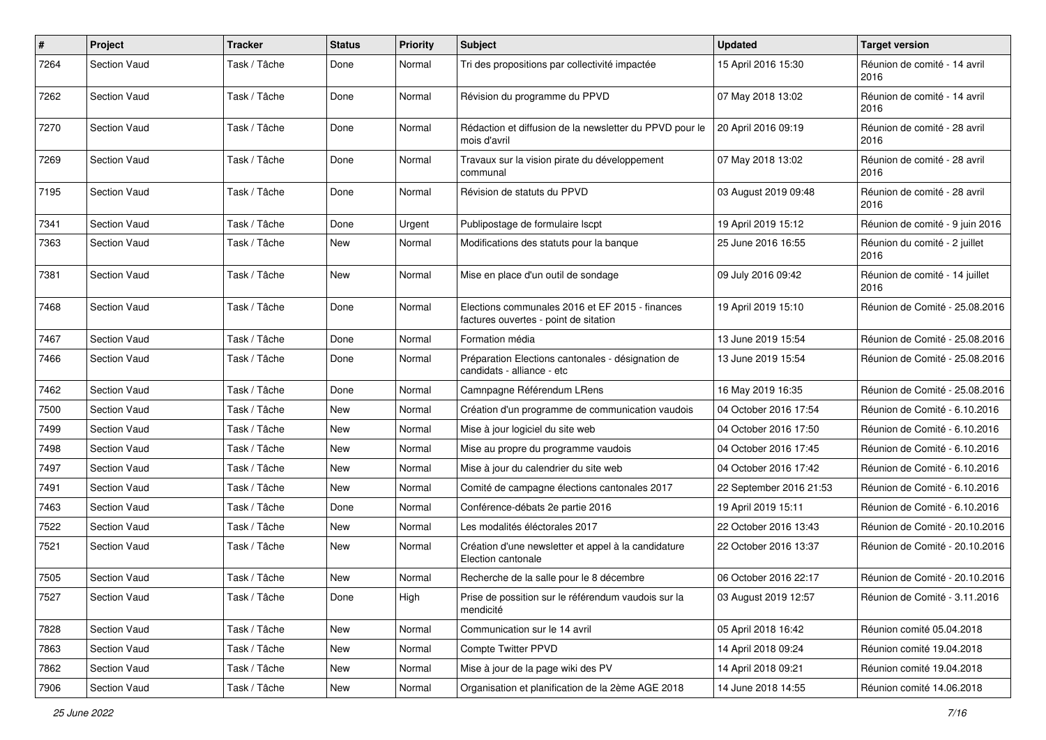| $\pmb{\#}$ | Project             | <b>Tracker</b> | <b>Status</b> | <b>Priority</b> | <b>Subject</b>                                                                           | <b>Updated</b>          | <b>Target version</b>                  |
|------------|---------------------|----------------|---------------|-----------------|------------------------------------------------------------------------------------------|-------------------------|----------------------------------------|
| 7264       | Section Vaud        | Task / Tâche   | Done          | Normal          | Tri des propositions par collectivité impactée                                           | 15 April 2016 15:30     | Réunion de comité - 14 avril<br>2016   |
| 7262       | Section Vaud        | Task / Tâche   | Done          | Normal          | Révision du programme du PPVD                                                            | 07 May 2018 13:02       | Réunion de comité - 14 avril<br>2016   |
| 7270       | Section Vaud        | Task / Tâche   | Done          | Normal          | Rédaction et diffusion de la newsletter du PPVD pour le<br>mois d'avril                  | 20 April 2016 09:19     | Réunion de comité - 28 avril<br>2016   |
| 7269       | Section Vaud        | Task / Tâche   | Done          | Normal          | Travaux sur la vision pirate du développement<br>communal                                | 07 May 2018 13:02       | Réunion de comité - 28 avril<br>2016   |
| 7195       | Section Vaud        | Task / Tâche   | Done          | Normal          | Révision de statuts du PPVD                                                              | 03 August 2019 09:48    | Réunion de comité - 28 avril<br>2016   |
| 7341       | Section Vaud        | Task / Tâche   | Done          | Urgent          | Publipostage de formulaire Iscpt                                                         | 19 April 2019 15:12     | Réunion de comité - 9 juin 2016        |
| 7363       | Section Vaud        | Task / Tâche   | New           | Normal          | Modifications des statuts pour la banque                                                 | 25 June 2016 16:55      | Réunion du comité - 2 juillet<br>2016  |
| 7381       | Section Vaud        | Task / Tâche   | <b>New</b>    | Normal          | Mise en place d'un outil de sondage                                                      | 09 July 2016 09:42      | Réunion de comité - 14 juillet<br>2016 |
| 7468       | Section Vaud        | Task / Tâche   | Done          | Normal          | Elections communales 2016 et EF 2015 - finances<br>factures ouvertes - point de sitation | 19 April 2019 15:10     | Réunion de Comité - 25.08.2016         |
| 7467       | Section Vaud        | Task / Tâche   | Done          | Normal          | Formation média                                                                          | 13 June 2019 15:54      | Réunion de Comité - 25.08.2016         |
| 7466       | Section Vaud        | Task / Tâche   | Done          | Normal          | Préparation Elections cantonales - désignation de<br>candidats - alliance - etc          | 13 June 2019 15:54      | Réunion de Comité - 25.08.2016         |
| 7462       | Section Vaud        | Task / Tâche   | Done          | Normal          | Camnpagne Référendum LRens                                                               | 16 May 2019 16:35       | Réunion de Comité - 25.08.2016         |
| 7500       | <b>Section Vaud</b> | Task / Tâche   | New           | Normal          | Création d'un programme de communication vaudois                                         | 04 October 2016 17:54   | Réunion de Comité - 6.10.2016          |
| 7499       | Section Vaud        | Task / Tâche   | New           | Normal          | Mise à jour logiciel du site web                                                         | 04 October 2016 17:50   | Réunion de Comité - 6.10.2016          |
| 7498       | <b>Section Vaud</b> | Task / Tâche   | New           | Normal          | Mise au propre du programme vaudois                                                      | 04 October 2016 17:45   | Réunion de Comité - 6.10.2016          |
| 7497       | Section Vaud        | Task / Tâche   | New           | Normal          | Mise à jour du calendrier du site web                                                    | 04 October 2016 17:42   | Réunion de Comité - 6.10.2016          |
| 7491       | Section Vaud        | Task / Tâche   | New           | Normal          | Comité de campagne élections cantonales 2017                                             | 22 September 2016 21:53 | Réunion de Comité - 6.10.2016          |
| 7463       | <b>Section Vaud</b> | Task / Tâche   | Done          | Normal          | Conférence-débats 2e partie 2016                                                         | 19 April 2019 15:11     | Réunion de Comité - 6.10.2016          |
| 7522       | Section Vaud        | Task / Tâche   | New           | Normal          | Les modalités éléctorales 2017                                                           | 22 October 2016 13:43   | Réunion de Comité - 20.10.2016         |
| 7521       | <b>Section Vaud</b> | Task / Tâche   | <b>New</b>    | Normal          | Création d'une newsletter et appel à la candidature<br>Election cantonale                | 22 October 2016 13:37   | Réunion de Comité - 20.10.2016         |
| 7505       | Section Vaud        | Task / Tâche   | New           | Normal          | Recherche de la salle pour le 8 décembre                                                 | 06 October 2016 22:17   | Réunion de Comité - 20.10.2016         |
| 7527       | Section Vaud        | Task / Tâche   | Done          | High            | Prise de possition sur le référendum vaudois sur la<br>mendicité                         | 03 August 2019 12:57    | Réunion de Comité - 3.11.2016          |
| 7828       | Section Vaud        | Task / Tâche   | New           | Normal          | Communication sur le 14 avril                                                            | 05 April 2018 16:42     | Réunion comité 05.04.2018              |
| 7863       | Section Vaud        | Task / Tâche   | New           | Normal          | Compte Twitter PPVD                                                                      | 14 April 2018 09:24     | Réunion comité 19.04.2018              |
| 7862       | Section Vaud        | Task / Tâche   | New           | Normal          | Mise à jour de la page wiki des PV                                                       | 14 April 2018 09:21     | Réunion comité 19.04.2018              |
| 7906       | Section Vaud        | Task / Tâche   | New           | Normal          | Organisation et planification de la 2ème AGE 2018                                        | 14 June 2018 14:55      | Réunion comité 14.06.2018              |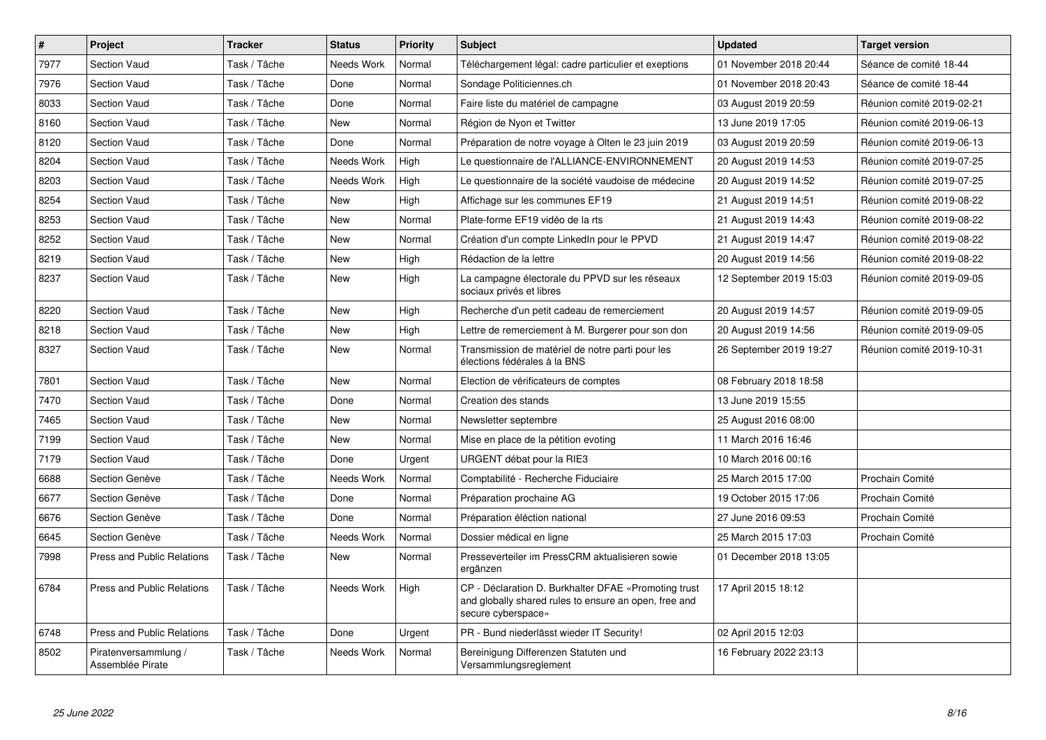| #    | Project                                  | <b>Tracker</b> | <b>Status</b> | <b>Priority</b> | <b>Subject</b>                                                                                                                      | <b>Updated</b>          | <b>Target version</b>     |
|------|------------------------------------------|----------------|---------------|-----------------|-------------------------------------------------------------------------------------------------------------------------------------|-------------------------|---------------------------|
| 7977 | Section Vaud                             | Task / Tâche   | Needs Work    | Normal          | Téléchargement légal: cadre particulier et exeptions                                                                                | 01 November 2018 20:44  | Séance de comité 18-44    |
| 7976 | Section Vaud                             | Task / Tâche   | Done          | Normal          | Sondage Politiciennes.ch                                                                                                            | 01 November 2018 20:43  | Séance de comité 18-44    |
| 8033 | Section Vaud                             | Task / Tâche   | Done          | Normal          | Faire liste du matériel de campagne                                                                                                 | 03 August 2019 20:59    | Réunion comité 2019-02-21 |
| 8160 | Section Vaud                             | Task / Tâche   | New           | Normal          | Région de Nyon et Twitter                                                                                                           | 13 June 2019 17:05      | Réunion comité 2019-06-13 |
| 8120 | Section Vaud                             | Task / Tâche   | Done          | Normal          | Préparation de notre voyage à Olten le 23 juin 2019                                                                                 | 03 August 2019 20:59    | Réunion comité 2019-06-13 |
| 8204 | <b>Section Vaud</b>                      | Task / Tâche   | Needs Work    | High            | Le questionnaire de l'ALLIANCE-ENVIRONNEMENT                                                                                        | 20 August 2019 14:53    | Réunion comité 2019-07-25 |
| 8203 | Section Vaud                             | Task / Tâche   | Needs Work    | High            | Le questionnaire de la société vaudoise de médecine                                                                                 | 20 August 2019 14:52    | Réunion comité 2019-07-25 |
| 8254 | <b>Section Vaud</b>                      | Task / Tâche   | <b>New</b>    | High            | Affichage sur les communes EF19                                                                                                     | 21 August 2019 14:51    | Réunion comité 2019-08-22 |
| 8253 | Section Vaud                             | Task / Tâche   | <b>New</b>    | Normal          | Plate-forme EF19 vidéo de la rts                                                                                                    | 21 August 2019 14:43    | Réunion comité 2019-08-22 |
| 8252 | Section Vaud                             | Task / Tâche   | <b>New</b>    | Normal          | Création d'un compte LinkedIn pour le PPVD                                                                                          | 21 August 2019 14:47    | Réunion comité 2019-08-22 |
| 8219 | <b>Section Vaud</b>                      | Task / Tâche   | <b>New</b>    | High            | Rédaction de la lettre                                                                                                              | 20 August 2019 14:56    | Réunion comité 2019-08-22 |
| 8237 | Section Vaud                             | Task / Tâche   | <b>New</b>    | High            | La campagne électorale du PPVD sur les réseaux<br>sociaux privés et libres                                                          | 12 September 2019 15:03 | Réunion comité 2019-09-05 |
| 8220 | Section Vaud                             | Task / Tâche   | <b>New</b>    | High            | Recherche d'un petit cadeau de remerciement                                                                                         | 20 August 2019 14:57    | Réunion comité 2019-09-05 |
| 8218 | <b>Section Vaud</b>                      | Task / Tâche   | <b>New</b>    | High            | Lettre de remerciement à M. Burgerer pour son don                                                                                   | 20 August 2019 14:56    | Réunion comité 2019-09-05 |
| 8327 | <b>Section Vaud</b>                      | Task / Tâche   | New           | Normal          | Transmission de matériel de notre parti pour les<br>élections fédérales à la BNS                                                    | 26 September 2019 19:27 | Réunion comité 2019-10-31 |
| 7801 | Section Vaud                             | Task / Tâche   | <b>New</b>    | Normal          | Election de vérificateurs de comptes                                                                                                | 08 February 2018 18:58  |                           |
| 7470 | Section Vaud                             | Task / Tâche   | Done          | Normal          | Creation des stands                                                                                                                 | 13 June 2019 15:55      |                           |
| 7465 | Section Vaud                             | Task / Tâche   | New           | Normal          | Newsletter septembre                                                                                                                | 25 August 2016 08:00    |                           |
| 7199 | Section Vaud                             | Task / Tâche   | New           | Normal          | Mise en place de la pétition evoting                                                                                                | 11 March 2016 16:46     |                           |
| 7179 | Section Vaud                             | Task / Tâche   | Done          | Urgent          | URGENT débat pour la RIE3                                                                                                           | 10 March 2016 00:16     |                           |
| 6688 | Section Genève                           | Task / Tâche   | Needs Work    | Normal          | Comptabilité - Recherche Fiduciaire                                                                                                 | 25 March 2015 17:00     | Prochain Comité           |
| 6677 | Section Genève                           | Task / Tâche   | Done          | Normal          | Préparation prochaine AG                                                                                                            | 19 October 2015 17:06   | Prochain Comité           |
| 6676 | Section Genève                           | Task / Tâche   | Done          | Normal          | Préparation éléction national                                                                                                       | 27 June 2016 09:53      | Prochain Comité           |
| 6645 | Section Genève                           | Task / Tâche   | Needs Work    | Normal          | Dossier médical en ligne                                                                                                            | 25 March 2015 17:03     | Prochain Comité           |
| 7998 | <b>Press and Public Relations</b>        | Task / Tâche   | <b>New</b>    | Normal          | Presseverteiler im PressCRM aktualisieren sowie<br>ergänzen                                                                         | 01 December 2018 13:05  |                           |
| 6784 | <b>Press and Public Relations</b>        | Task / Tâche   | Needs Work    | High            | CP - Déclaration D. Burkhalter DFAE «Promoting trust<br>and globally shared rules to ensure an open, free and<br>secure cyberspace» | 17 April 2015 18:12     |                           |
| 6748 | <b>Press and Public Relations</b>        | Task / Tâche   | Done          | Urgent          | PR - Bund niederlässt wieder IT Security!                                                                                           | 02 April 2015 12:03     |                           |
| 8502 | Piratenversammlung /<br>Assemblée Pirate | Task / Tâche   | Needs Work    | Normal          | Bereinigung Differenzen Statuten und<br>Versammlungsreglement                                                                       | 16 February 2022 23:13  |                           |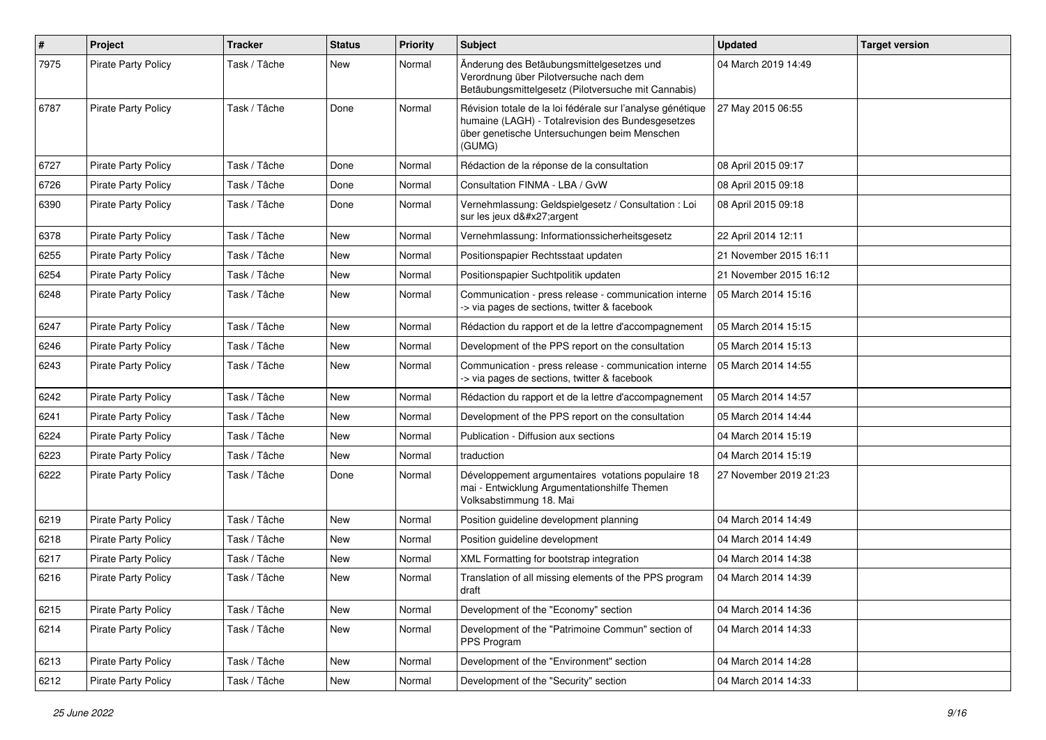| $\pmb{\#}$ | Project                    | <b>Tracker</b> | <b>Status</b> | <b>Priority</b> | <b>Subject</b>                                                                                                                                                            | <b>Updated</b>         | <b>Target version</b> |
|------------|----------------------------|----------------|---------------|-----------------|---------------------------------------------------------------------------------------------------------------------------------------------------------------------------|------------------------|-----------------------|
| 7975       | <b>Pirate Party Policy</b> | Task / Tâche   | New           | Normal          | Änderung des Betäubungsmittelgesetzes und<br>Verordnung über Pilotversuche nach dem<br>Betäubungsmittelgesetz (Pilotversuche mit Cannabis)                                | 04 March 2019 14:49    |                       |
| 6787       | <b>Pirate Party Policy</b> | Task / Tâche   | Done          | Normal          | Révision totale de la loi fédérale sur l'analyse génétique<br>humaine (LAGH) - Totalrevision des Bundesgesetzes<br>über genetische Untersuchungen beim Menschen<br>(GUMG) | 27 May 2015 06:55      |                       |
| 6727       | Pirate Party Policy        | Task / Tâche   | Done          | Normal          | Rédaction de la réponse de la consultation                                                                                                                                | 08 April 2015 09:17    |                       |
| 6726       | <b>Pirate Party Policy</b> | Task / Tâche   | Done          | Normal          | Consultation FINMA - LBA / GvW                                                                                                                                            | 08 April 2015 09:18    |                       |
| 6390       | <b>Pirate Party Policy</b> | Task / Tâche   | Done          | Normal          | Vernehmlassung: Geldspielgesetz / Consultation : Loi<br>sur les jeux d'argent                                                                                             | 08 April 2015 09:18    |                       |
| 6378       | Pirate Party Policy        | Task / Tâche   | New           | Normal          | Vernehmlassung: Informationssicherheitsgesetz                                                                                                                             | 22 April 2014 12:11    |                       |
| 6255       | <b>Pirate Party Policy</b> | Task / Tâche   | <b>New</b>    | Normal          | Positionspapier Rechtsstaat updaten                                                                                                                                       | 21 November 2015 16:11 |                       |
| 6254       | <b>Pirate Party Policy</b> | Task / Tâche   | New           | Normal          | Positionspapier Suchtpolitik updaten                                                                                                                                      | 21 November 2015 16:12 |                       |
| 6248       | Pirate Party Policy        | Task / Tâche   | New           | Normal          | Communication - press release - communication interne<br>-> via pages de sections, twitter & facebook                                                                     | 05 March 2014 15:16    |                       |
| 6247       | <b>Pirate Party Policy</b> | Task / Tâche   | <b>New</b>    | Normal          | Rédaction du rapport et de la lettre d'accompagnement                                                                                                                     | 05 March 2014 15:15    |                       |
| 6246       | Pirate Party Policy        | Task / Tâche   | New           | Normal          | Development of the PPS report on the consultation                                                                                                                         | 05 March 2014 15:13    |                       |
| 6243       | <b>Pirate Party Policy</b> | Task / Tâche   | <b>New</b>    | Normal          | Communication - press release - communication interne<br>-> via pages de sections, twitter & facebook                                                                     | 05 March 2014 14:55    |                       |
| 6242       | <b>Pirate Party Policy</b> | Task / Tâche   | <b>New</b>    | Normal          | Rédaction du rapport et de la lettre d'accompagnement                                                                                                                     | 05 March 2014 14:57    |                       |
| 6241       | <b>Pirate Party Policy</b> | Task / Tâche   | New           | Normal          | Development of the PPS report on the consultation                                                                                                                         | 05 March 2014 14:44    |                       |
| 6224       | <b>Pirate Party Policy</b> | Task / Tâche   | New           | Normal          | Publication - Diffusion aux sections                                                                                                                                      | 04 March 2014 15:19    |                       |
| 6223       | Pirate Party Policy        | Task / Tâche   | New           | Normal          | traduction                                                                                                                                                                | 04 March 2014 15:19    |                       |
| 6222       | Pirate Party Policy        | Task / Tâche   | Done          | Normal          | Développement argumentaires votations populaire 18<br>mai - Entwicklung Argumentationshilfe Themen<br>Volksabstimmung 18. Mai                                             | 27 November 2019 21:23 |                       |
| 6219       | Pirate Party Policy        | Task / Tâche   | New           | Normal          | Position guideline development planning                                                                                                                                   | 04 March 2014 14:49    |                       |
| 6218       | <b>Pirate Party Policy</b> | Task / Tâche   | <b>New</b>    | Normal          | Position guideline development                                                                                                                                            | 04 March 2014 14:49    |                       |
| 6217       | <b>Pirate Party Policy</b> | Task / Tâche   | New           | Normal          | XML Formatting for bootstrap integration                                                                                                                                  | 04 March 2014 14:38    |                       |
| 6216       | Pirate Party Policy        | Task / Tâche   | New           | Normal          | Translation of all missing elements of the PPS program<br>draft                                                                                                           | 04 March 2014 14:39    |                       |
| 6215       | Pirate Party Policy        | Task / Tâche   | New           | Normal          | Development of the "Economy" section                                                                                                                                      | 04 March 2014 14:36    |                       |
| 6214       | <b>Pirate Party Policy</b> | Task / Tâche   | New           | Normal          | Development of the "Patrimoine Commun" section of<br>PPS Program                                                                                                          | 04 March 2014 14:33    |                       |
| 6213       | Pirate Party Policy        | Task / Tâche   | New           | Normal          | Development of the "Environment" section                                                                                                                                  | 04 March 2014 14:28    |                       |
| 6212       | Pirate Party Policy        | Task / Tâche   | New           | Normal          | Development of the "Security" section                                                                                                                                     | 04 March 2014 14:33    |                       |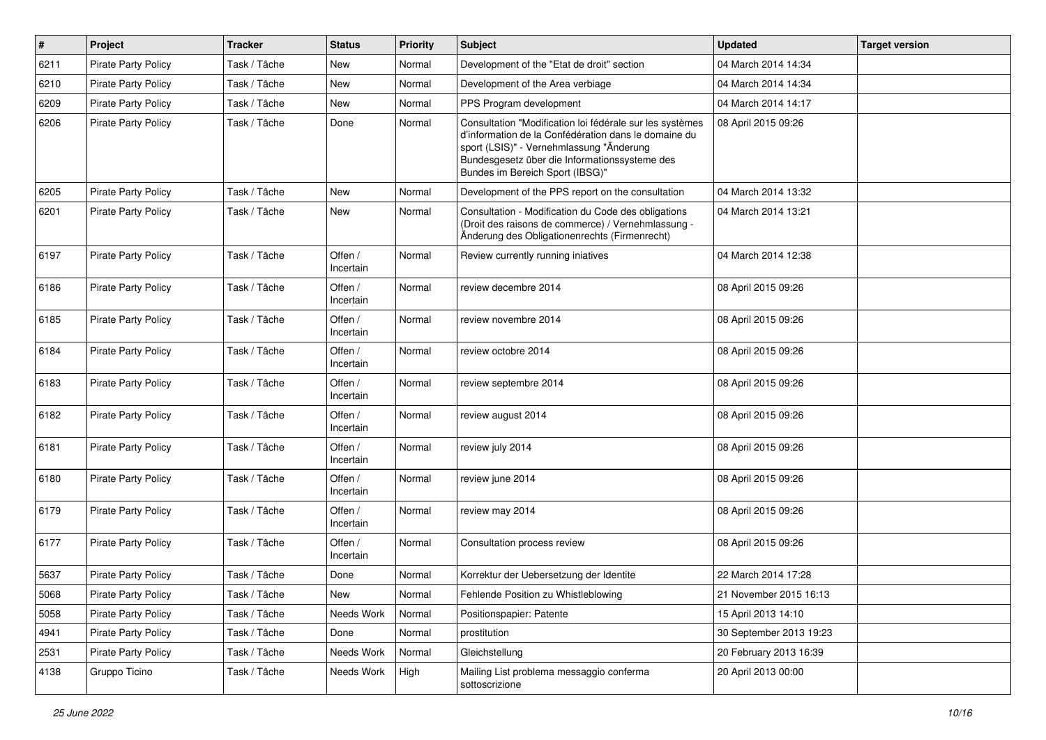| #    | Project                    | <b>Tracker</b> | <b>Status</b>        | <b>Priority</b> | <b>Subject</b>                                                                                                                                                                                                                                   | <b>Updated</b>          | <b>Target version</b> |
|------|----------------------------|----------------|----------------------|-----------------|--------------------------------------------------------------------------------------------------------------------------------------------------------------------------------------------------------------------------------------------------|-------------------------|-----------------------|
| 6211 | Pirate Party Policy        | Task / Tâche   | <b>New</b>           | Normal          | Development of the "Etat de droit" section                                                                                                                                                                                                       | 04 March 2014 14:34     |                       |
| 6210 | <b>Pirate Party Policy</b> | Task / Tâche   | <b>New</b>           | Normal          | Development of the Area verbiage                                                                                                                                                                                                                 | 04 March 2014 14:34     |                       |
| 6209 | <b>Pirate Party Policy</b> | Task / Tâche   | New                  | Normal          | PPS Program development                                                                                                                                                                                                                          | 04 March 2014 14:17     |                       |
| 6206 | <b>Pirate Party Policy</b> | Task / Tâche   | Done                 | Normal          | Consultation "Modification loi fédérale sur les systèmes<br>d'information de la Confédération dans le domaine du<br>sport (LSIS)" - Vernehmlassung "Änderung<br>Bundesgesetz über die Informationssysteme des<br>Bundes im Bereich Sport (IBSG)" | 08 April 2015 09:26     |                       |
| 6205 | <b>Pirate Party Policy</b> | Task / Tâche   | New                  | Normal          | Development of the PPS report on the consultation                                                                                                                                                                                                | 04 March 2014 13:32     |                       |
| 6201 | <b>Pirate Party Policy</b> | Task / Tâche   | New                  | Normal          | Consultation - Modification du Code des obligations<br>(Droit des raisons de commerce) / Vernehmlassung -<br>Änderung des Obligationenrechts (Firmenrecht)                                                                                       | 04 March 2014 13:21     |                       |
| 6197 | <b>Pirate Party Policy</b> | Task / Tâche   | Offen /<br>Incertain | Normal          | Review currently running iniatives                                                                                                                                                                                                               | 04 March 2014 12:38     |                       |
| 6186 | Pirate Party Policy        | Task / Tâche   | Offen /<br>Incertain | Normal          | review decembre 2014                                                                                                                                                                                                                             | 08 April 2015 09:26     |                       |
| 6185 | <b>Pirate Party Policy</b> | Task / Tâche   | Offen /<br>Incertain | Normal          | review novembre 2014                                                                                                                                                                                                                             | 08 April 2015 09:26     |                       |
| 6184 | Pirate Party Policy        | Task / Tâche   | Offen /<br>Incertain | Normal          | review octobre 2014                                                                                                                                                                                                                              | 08 April 2015 09:26     |                       |
| 6183 | <b>Pirate Party Policy</b> | Task / Tâche   | Offen /<br>Incertain | Normal          | review septembre 2014                                                                                                                                                                                                                            | 08 April 2015 09:26     |                       |
| 6182 | <b>Pirate Party Policy</b> | Task / Tâche   | Offen /<br>Incertain | Normal          | review august 2014                                                                                                                                                                                                                               | 08 April 2015 09:26     |                       |
| 6181 | <b>Pirate Party Policy</b> | Task / Tâche   | Offen /<br>Incertain | Normal          | review july 2014                                                                                                                                                                                                                                 | 08 April 2015 09:26     |                       |
| 6180 | <b>Pirate Party Policy</b> | Task / Tâche   | Offen /<br>Incertain | Normal          | review june 2014                                                                                                                                                                                                                                 | 08 April 2015 09:26     |                       |
| 6179 | <b>Pirate Party Policy</b> | Task / Tâche   | Offen /<br>Incertain | Normal          | review may 2014                                                                                                                                                                                                                                  | 08 April 2015 09:26     |                       |
| 6177 | <b>Pirate Party Policy</b> | Task / Tâche   | Offen /<br>Incertain | Normal          | Consultation process review                                                                                                                                                                                                                      | 08 April 2015 09:26     |                       |
| 5637 | <b>Pirate Party Policy</b> | Task / Tâche   | Done                 | Normal          | Korrektur der Uebersetzung der Identite                                                                                                                                                                                                          | 22 March 2014 17:28     |                       |
| 5068 | <b>Pirate Party Policy</b> | Task / Tâche   | New                  | Normal          | Fehlende Position zu Whistleblowing                                                                                                                                                                                                              | 21 November 2015 16:13  |                       |
| 5058 | Pirate Party Policy        | Task / Tâche   | Needs Work           | Normal          | Positionspapier: Patente                                                                                                                                                                                                                         | 15 April 2013 14:10     |                       |
| 4941 | Pirate Party Policy        | Task / Tâche   | Done                 | Normal          | prostitution                                                                                                                                                                                                                                     | 30 September 2013 19:23 |                       |
| 2531 | Pirate Party Policy        | Task / Tâche   | Needs Work           | Normal          | Gleichstellung                                                                                                                                                                                                                                   | 20 February 2013 16:39  |                       |
| 4138 | Gruppo Ticino              | Task / Tâche   | Needs Work           | High            | Mailing List problema messaggio conferma<br>sottoscrizione                                                                                                                                                                                       | 20 April 2013 00:00     |                       |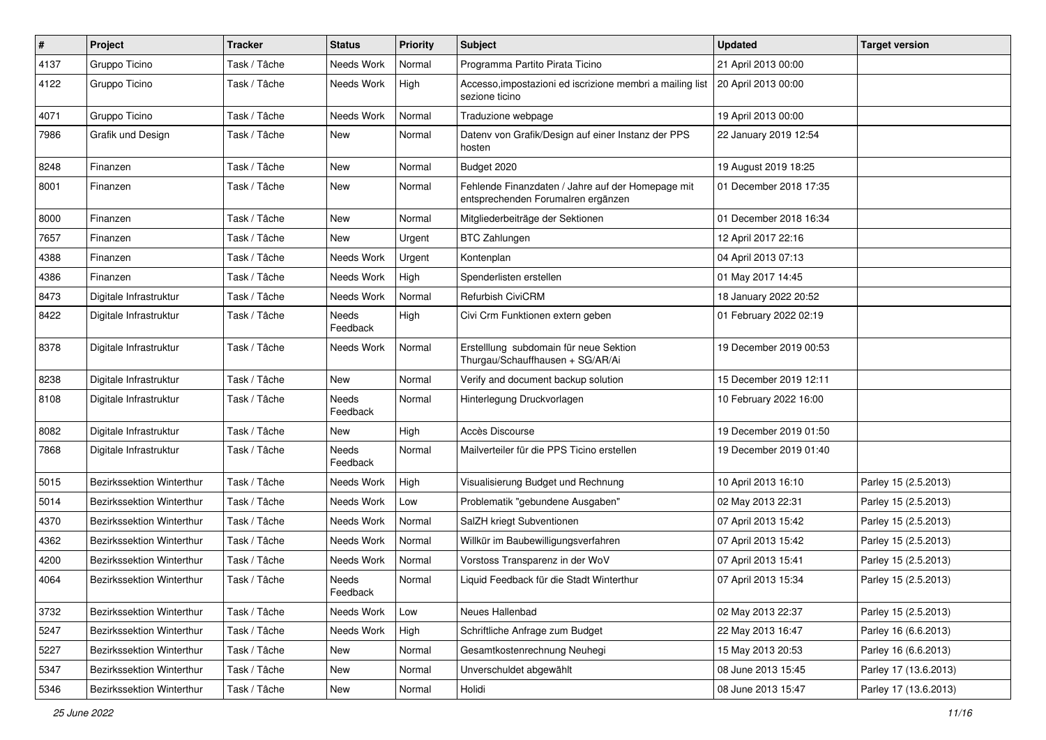| $\#$ | Project                          | <b>Tracker</b> | <b>Status</b>            | <b>Priority</b> | <b>Subject</b>                                                                          | <b>Updated</b>         | <b>Target version</b> |
|------|----------------------------------|----------------|--------------------------|-----------------|-----------------------------------------------------------------------------------------|------------------------|-----------------------|
| 4137 | Gruppo Ticino                    | Task / Tâche   | Needs Work               | Normal          | Programma Partito Pirata Ticino                                                         | 21 April 2013 00:00    |                       |
| 4122 | Gruppo Ticino                    | Task / Tâche   | Needs Work               | High            | Accesso, impostazioni ed iscrizione membri a mailing list<br>sezione ticino             | 20 April 2013 00:00    |                       |
| 4071 | Gruppo Ticino                    | Task / Tâche   | Needs Work               | Normal          | Traduzione webpage                                                                      | 19 April 2013 00:00    |                       |
| 7986 | Grafik und Design                | Task / Tâche   | <b>New</b>               | Normal          | Datenv von Grafik/Design auf einer Instanz der PPS<br>hosten                            | 22 January 2019 12:54  |                       |
| 8248 | Finanzen                         | Task / Tâche   | <b>New</b>               | Normal          | Budget 2020                                                                             | 19 August 2019 18:25   |                       |
| 8001 | Finanzen                         | Task / Tâche   | New                      | Normal          | Fehlende Finanzdaten / Jahre auf der Homepage mit<br>entsprechenden Forumalren ergänzen | 01 December 2018 17:35 |                       |
| 8000 | Finanzen                         | Task / Tâche   | New                      | Normal          | Mitgliederbeiträge der Sektionen                                                        | 01 December 2018 16:34 |                       |
| 7657 | Finanzen                         | Task / Tâche   | New                      | Urgent          | <b>BTC Zahlungen</b>                                                                    | 12 April 2017 22:16    |                       |
| 4388 | Finanzen                         | Task / Tâche   | Needs Work               | Urgent          | Kontenplan                                                                              | 04 April 2013 07:13    |                       |
| 4386 | Finanzen                         | Task / Tâche   | Needs Work               | High            | Spenderlisten erstellen                                                                 | 01 May 2017 14:45      |                       |
| 8473 | Digitale Infrastruktur           | Task / Tâche   | Needs Work               | Normal          | Refurbish CiviCRM                                                                       | 18 January 2022 20:52  |                       |
| 8422 | Digitale Infrastruktur           | Task / Tâche   | <b>Needs</b><br>Feedback | High            | Civi Crm Funktionen extern geben                                                        | 01 February 2022 02:19 |                       |
| 8378 | Digitale Infrastruktur           | Task / Tâche   | Needs Work               | Normal          | Erstelllung subdomain für neue Sektion<br>Thurgau/Schauffhausen + SG/AR/Ai              | 19 December 2019 00:53 |                       |
| 8238 | Digitale Infrastruktur           | Task / Tâche   | New                      | Normal          | Verify and document backup solution                                                     | 15 December 2019 12:11 |                       |
| 8108 | Digitale Infrastruktur           | Task / Tâche   | Needs<br>Feedback        | Normal          | Hinterlegung Druckvorlagen                                                              | 10 February 2022 16:00 |                       |
| 8082 | Digitale Infrastruktur           | Task / Tâche   | New                      | High            | Accès Discourse                                                                         | 19 December 2019 01:50 |                       |
| 7868 | Digitale Infrastruktur           | Task / Tâche   | Needs<br>Feedback        | Normal          | Mailverteiler für die PPS Ticino erstellen                                              | 19 December 2019 01:40 |                       |
| 5015 | <b>Bezirkssektion Winterthur</b> | Task / Tâche   | Needs Work               | High            | Visualisierung Budget und Rechnung                                                      | 10 April 2013 16:10    | Parley 15 (2.5.2013)  |
| 5014 | Bezirkssektion Winterthur        | Task / Tâche   | Needs Work               | Low             | Problematik "gebundene Ausgaben"                                                        | 02 May 2013 22:31      | Parley 15 (2.5.2013)  |
| 4370 | Bezirkssektion Winterthur        | Task / Tâche   | Needs Work               | Normal          | SalZH kriegt Subventionen                                                               | 07 April 2013 15:42    | Parley 15 (2.5.2013)  |
| 4362 | Bezirkssektion Winterthur        | Task / Tâche   | Needs Work               | Normal          | Willkür im Baubewilligungsverfahren                                                     | 07 April 2013 15:42    | Parley 15 (2.5.2013)  |
| 4200 | Bezirkssektion Winterthur        | Task / Tâche   | Needs Work               | Normal          | Vorstoss Transparenz in der WoV                                                         | 07 April 2013 15:41    | Parley 15 (2.5.2013)  |
| 4064 | Bezirkssektion Winterthur        | Task / Tâche   | Needs<br>Feedback        | Normal          | Liquid Feedback für die Stadt Winterthur                                                | 07 April 2013 15:34    | Parley 15 (2.5.2013)  |
| 3732 | Bezirkssektion Winterthur        | Task / Tâche   | Needs Work               | Low             | Neues Hallenbad                                                                         | 02 May 2013 22:37      | Parley 15 (2.5.2013)  |
| 5247 | Bezirkssektion Winterthur        | Task / Tâche   | Needs Work               | High            | Schriftliche Anfrage zum Budget                                                         | 22 May 2013 16:47      | Parley 16 (6.6.2013)  |
| 5227 | Bezirkssektion Winterthur        | Task / Tâche   | New                      | Normal          | Gesamtkostenrechnung Neuhegi                                                            | 15 May 2013 20:53      | Parley 16 (6.6.2013)  |
| 5347 | Bezirkssektion Winterthur        | Task / Tâche   | New                      | Normal          | Unverschuldet abgewählt                                                                 | 08 June 2013 15:45     | Parley 17 (13.6.2013) |
| 5346 | Bezirkssektion Winterthur        | Task / Tâche   | New                      | Normal          | Holidi                                                                                  | 08 June 2013 15:47     | Parley 17 (13.6.2013) |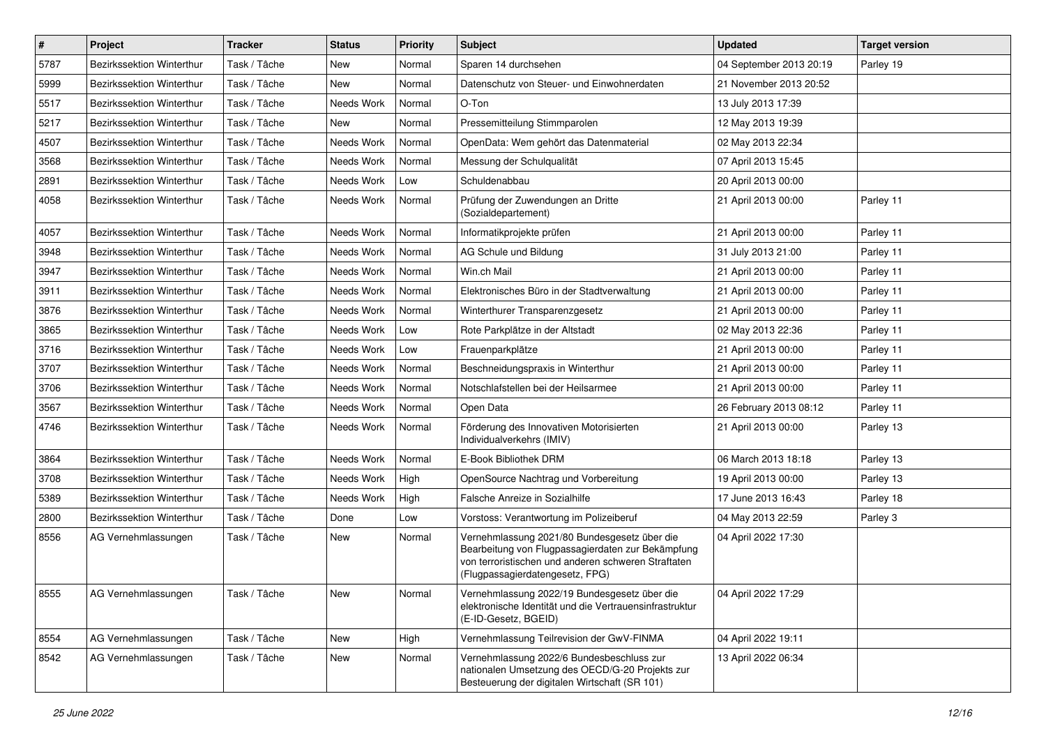| $\sharp$ | Project                   | <b>Tracker</b> | <b>Status</b> | <b>Priority</b> | Subject                                                                                                                                                                                     | <b>Updated</b>          | <b>Target version</b> |
|----------|---------------------------|----------------|---------------|-----------------|---------------------------------------------------------------------------------------------------------------------------------------------------------------------------------------------|-------------------------|-----------------------|
| 5787     | Bezirkssektion Winterthur | Task / Tâche   | New           | Normal          | Sparen 14 durchsehen                                                                                                                                                                        | 04 September 2013 20:19 | Parley 19             |
| 5999     | Bezirkssektion Winterthur | Task / Tâche   | <b>New</b>    | Normal          | Datenschutz von Steuer- und Einwohnerdaten                                                                                                                                                  | 21 November 2013 20:52  |                       |
| 5517     | Bezirkssektion Winterthur | Task / Tâche   | Needs Work    | Normal          | O-Ton                                                                                                                                                                                       | 13 July 2013 17:39      |                       |
| 5217     | Bezirkssektion Winterthur | Task / Tâche   | New           | Normal          | Pressemitteilung Stimmparolen                                                                                                                                                               | 12 May 2013 19:39       |                       |
| 4507     | Bezirkssektion Winterthur | Task / Tâche   | Needs Work    | Normal          | OpenData: Wem gehört das Datenmaterial                                                                                                                                                      | 02 May 2013 22:34       |                       |
| 3568     | Bezirkssektion Winterthur | Task / Tâche   | Needs Work    | Normal          | Messung der Schulqualität                                                                                                                                                                   | 07 April 2013 15:45     |                       |
| 2891     | Bezirkssektion Winterthur | Task / Tâche   | Needs Work    | Low             | Schuldenabbau                                                                                                                                                                               | 20 April 2013 00:00     |                       |
| 4058     | Bezirkssektion Winterthur | Task / Tâche   | Needs Work    | Normal          | Prüfung der Zuwendungen an Dritte<br>(Sozialdepartement)                                                                                                                                    | 21 April 2013 00:00     | Parley 11             |
| 4057     | Bezirkssektion Winterthur | Task / Tâche   | Needs Work    | Normal          | Informatikprojekte prüfen                                                                                                                                                                   | 21 April 2013 00:00     | Parley 11             |
| 3948     | Bezirkssektion Winterthur | Task / Tâche   | Needs Work    | Normal          | AG Schule und Bildung                                                                                                                                                                       | 31 July 2013 21:00      | Parley 11             |
| 3947     | Bezirkssektion Winterthur | Task / Tâche   | Needs Work    | Normal          | Win.ch Mail                                                                                                                                                                                 | 21 April 2013 00:00     | Parley 11             |
| 3911     | Bezirkssektion Winterthur | Task / Tâche   | Needs Work    | Normal          | Elektronisches Büro in der Stadtverwaltung                                                                                                                                                  | 21 April 2013 00:00     | Parley 11             |
| 3876     | Bezirkssektion Winterthur | Task / Tâche   | Needs Work    | Normal          | Winterthurer Transparenzgesetz                                                                                                                                                              | 21 April 2013 00:00     | Parley 11             |
| 3865     | Bezirkssektion Winterthur | Task / Tâche   | Needs Work    | Low             | Rote Parkplätze in der Altstadt                                                                                                                                                             | 02 May 2013 22:36       | Parley 11             |
| 3716     | Bezirkssektion Winterthur | Task / Tâche   | Needs Work    | Low             | Frauenparkplätze                                                                                                                                                                            | 21 April 2013 00:00     | Parley 11             |
| 3707     | Bezirkssektion Winterthur | Task / Tâche   | Needs Work    | Normal          | Beschneidungspraxis in Winterthur                                                                                                                                                           | 21 April 2013 00:00     | Parley 11             |
| 3706     | Bezirkssektion Winterthur | Task / Tâche   | Needs Work    | Normal          | Notschlafstellen bei der Heilsarmee                                                                                                                                                         | 21 April 2013 00:00     | Parley 11             |
| 3567     | Bezirkssektion Winterthur | Task / Tâche   | Needs Work    | Normal          | Open Data                                                                                                                                                                                   | 26 February 2013 08:12  | Parley 11             |
| 4746     | Bezirkssektion Winterthur | Task / Tâche   | Needs Work    | Normal          | Förderung des Innovativen Motorisierten<br>Individualverkehrs (IMIV)                                                                                                                        | 21 April 2013 00:00     | Parley 13             |
| 3864     | Bezirkssektion Winterthur | Task / Tâche   | Needs Work    | Normal          | E-Book Bibliothek DRM                                                                                                                                                                       | 06 March 2013 18:18     | Parley 13             |
| 3708     | Bezirkssektion Winterthur | Task / Tâche   | Needs Work    | High            | OpenSource Nachtrag und Vorbereitung                                                                                                                                                        | 19 April 2013 00:00     | Parley 13             |
| 5389     | Bezirkssektion Winterthur | Task / Tâche   | Needs Work    | High            | Falsche Anreize in Sozialhilfe                                                                                                                                                              | 17 June 2013 16:43      | Parley 18             |
| 2800     | Bezirkssektion Winterthur | Task / Tâche   | Done          | Low             | Vorstoss: Verantwortung im Polizeiberuf                                                                                                                                                     | 04 May 2013 22:59       | Parley 3              |
| 8556     | AG Vernehmlassungen       | Task / Tâche   | New           | Normal          | Vernehmlassung 2021/80 Bundesgesetz über die<br>Bearbeitung von Flugpassagierdaten zur Bekämpfung<br>von terroristischen und anderen schweren Straftaten<br>(Flugpassagierdatengesetz, FPG) | 04 April 2022 17:30     |                       |
| 8555     | AG Vernehmlassungen       | Task / Tâche   | New           | Normal          | Vernehmlassung 2022/19 Bundesgesetz über die<br>elektronische Identität und die Vertrauensinfrastruktur<br>(E-ID-Gesetz, BGEID)                                                             | 04 April 2022 17:29     |                       |
| 8554     | AG Vernehmlassungen       | Task / Tâche   | New           | High            | Vernehmlassung Teilrevision der GwV-FINMA                                                                                                                                                   | 04 April 2022 19:11     |                       |
| 8542     | AG Vernehmlassungen       | Task / Tâche   | New           | Normal          | Vernehmlassung 2022/6 Bundesbeschluss zur<br>nationalen Umsetzung des OECD/G-20 Projekts zur<br>Besteuerung der digitalen Wirtschaft (SR 101)                                               | 13 April 2022 06:34     |                       |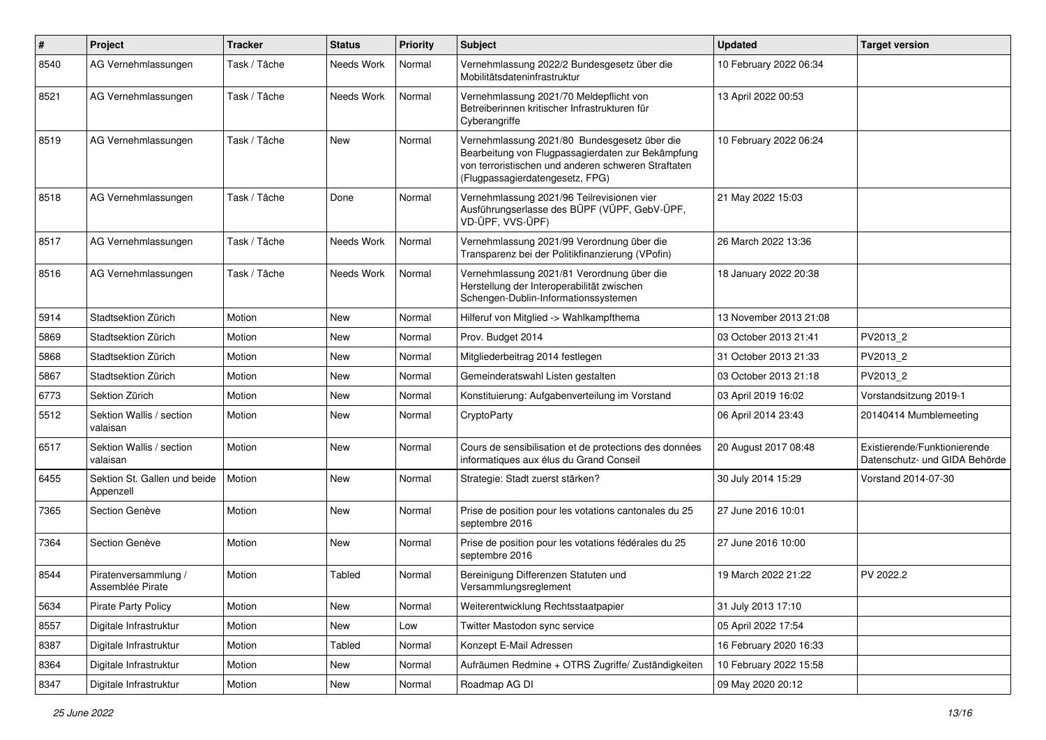| $\pmb{\#}$ | Project                                   | <b>Tracker</b> | <b>Status</b> | <b>Priority</b> | <b>Subject</b>                                                                                                                                                                              | <b>Updated</b>         | <b>Target version</b>                                         |
|------------|-------------------------------------------|----------------|---------------|-----------------|---------------------------------------------------------------------------------------------------------------------------------------------------------------------------------------------|------------------------|---------------------------------------------------------------|
| 8540       | AG Vernehmlassungen                       | Task / Tâche   | Needs Work    | Normal          | Vernehmlassung 2022/2 Bundesgesetz über die<br>Mobilitätsdateninfrastruktur                                                                                                                 | 10 February 2022 06:34 |                                                               |
| 8521       | AG Vernehmlassungen                       | Task / Tâche   | Needs Work    | Normal          | Vernehmlassung 2021/70 Meldepflicht von<br>Betreiberinnen kritischer Infrastrukturen für<br>Cyberangriffe                                                                                   | 13 April 2022 00:53    |                                                               |
| 8519       | AG Vernehmlassungen                       | Task / Tâche   | <b>New</b>    | Normal          | Vernehmlassung 2021/80 Bundesgesetz über die<br>Bearbeitung von Flugpassagierdaten zur Bekämpfung<br>von terroristischen und anderen schweren Straftaten<br>(Flugpassagierdatengesetz, FPG) | 10 February 2022 06:24 |                                                               |
| 8518       | AG Vernehmlassungen                       | Task / Tâche   | Done          | Normal          | Vernehmlassung 2021/96 Teilrevisionen vier<br>Ausführungserlasse des BÜPF (VÜPF, GebV-ÜPF,<br>VD-ÜPF, VVS-ÜPF)                                                                              | 21 May 2022 15:03      |                                                               |
| 8517       | AG Vernehmlassungen                       | Task / Tâche   | Needs Work    | Normal          | Vernehmlassung 2021/99 Verordnung über die<br>Transparenz bei der Politikfinanzierung (VPofin)                                                                                              | 26 March 2022 13:36    |                                                               |
| 8516       | AG Vernehmlassungen                       | Task / Tâche   | Needs Work    | Normal          | Vernehmlassung 2021/81 Verordnung über die<br>Herstellung der Interoperabilität zwischen<br>Schengen-Dublin-Informationssystemen                                                            | 18 January 2022 20:38  |                                                               |
| 5914       | Stadtsektion Zürich                       | Motion         | <b>New</b>    | Normal          | Hilferuf von Mitglied -> Wahlkampfthema                                                                                                                                                     | 13 November 2013 21:08 |                                                               |
| 5869       | Stadtsektion Zürich                       | Motion         | New           | Normal          | Prov. Budget 2014                                                                                                                                                                           | 03 October 2013 21:41  | PV2013_2                                                      |
| 5868       | Stadtsektion Zürich                       | Motion         | New           | Normal          | Mitgliederbeitrag 2014 festlegen                                                                                                                                                            | 31 October 2013 21:33  | PV2013 2                                                      |
| 5867       | Stadtsektion Zürich                       | Motion         | New           | Normal          | Gemeinderatswahl Listen gestalten                                                                                                                                                           | 03 October 2013 21:18  | PV2013_2                                                      |
| 6773       | Sektion Zürich                            | Motion         | New           | Normal          | Konstituierung: Aufgabenverteilung im Vorstand                                                                                                                                              | 03 April 2019 16:02    | Vorstandsitzung 2019-1                                        |
| 5512       | Sektion Wallis / section<br>valaisan      | Motion         | New           | Normal          | CryptoParty                                                                                                                                                                                 | 06 April 2014 23:43    | 20140414 Mumblemeeting                                        |
| 6517       | Sektion Wallis / section<br>valaisan      | Motion         | New           | Normal          | Cours de sensibilisation et de protections des données<br>informatiques aux élus du Grand Conseil                                                                                           | 20 August 2017 08:48   | Existierende/Funktionierende<br>Datenschutz- und GIDA Behörde |
| 6455       | Sektion St. Gallen und beide<br>Appenzell | Motion         | <b>New</b>    | Normal          | Strategie: Stadt zuerst stärken?                                                                                                                                                            | 30 July 2014 15:29     | Vorstand 2014-07-30                                           |
| 7365       | Section Genève                            | Motion         | New           | Normal          | Prise de position pour les votations cantonales du 25<br>septembre 2016                                                                                                                     | 27 June 2016 10:01     |                                                               |
| 7364       | Section Genève                            | Motion         | New           | Normal          | Prise de position pour les votations fédérales du 25<br>septembre 2016                                                                                                                      | 27 June 2016 10:00     |                                                               |
| 8544       | Piratenversammlung /<br>Assemblée Pirate  | Motion         | Tabled        | Normal          | Bereinigung Differenzen Statuten und<br>Versammlungsreglement                                                                                                                               | 19 March 2022 21:22    | PV 2022.2                                                     |
| 5634       | Pirate Party Policy                       | Motion         | New           | Normal          | Weiterentwicklung Rechtsstaatpapier                                                                                                                                                         | 31 July 2013 17:10     |                                                               |
| 8557       | Digitale Infrastruktur                    | Motion         | New           | Low             | Twitter Mastodon sync service                                                                                                                                                               | 05 April 2022 17:54    |                                                               |
| 8387       | Digitale Infrastruktur                    | Motion         | Tabled        | Normal          | Konzept E-Mail Adressen                                                                                                                                                                     | 16 February 2020 16:33 |                                                               |
| 8364       | Digitale Infrastruktur                    | Motion         | New           | Normal          | Aufräumen Redmine + OTRS Zugriffe/ Zuständigkeiten                                                                                                                                          | 10 February 2022 15:58 |                                                               |
| 8347       | Digitale Infrastruktur                    | Motion         | New           | Normal          | Roadmap AG DI                                                                                                                                                                               | 09 May 2020 20:12      |                                                               |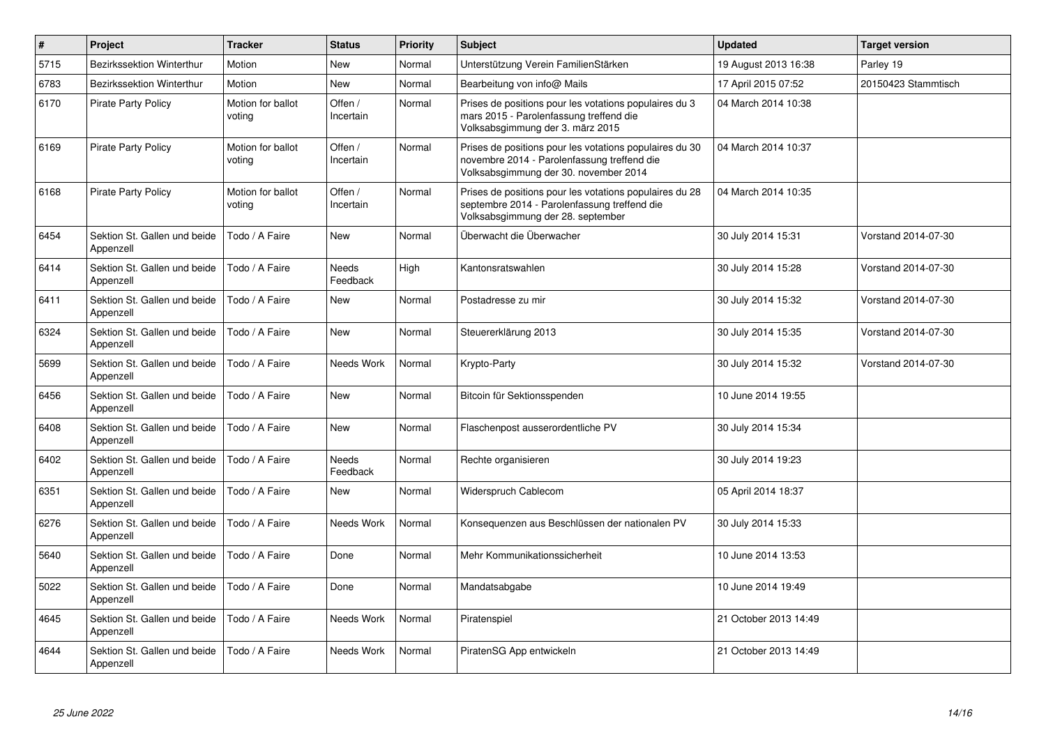| $\pmb{\#}$ | Project                                   | <b>Tracker</b>              | <b>Status</b>            | <b>Priority</b> | <b>Subject</b>                                                                                                                                  | <b>Updated</b>        | <b>Target version</b> |
|------------|-------------------------------------------|-----------------------------|--------------------------|-----------------|-------------------------------------------------------------------------------------------------------------------------------------------------|-----------------------|-----------------------|
| 5715       | <b>Bezirkssektion Winterthur</b>          | Motion                      | <b>New</b>               | Normal          | Unterstützung Verein FamilienStärken                                                                                                            | 19 August 2013 16:38  | Parley 19             |
| 6783       | Bezirkssektion Winterthur                 | Motion                      | New                      | Normal          | Bearbeitung von info@ Mails                                                                                                                     | 17 April 2015 07:52   | 20150423 Stammtisch   |
| 6170       | <b>Pirate Party Policy</b>                | Motion for ballot<br>voting | Offen /<br>Incertain     | Normal          | Prises de positions pour les votations populaires du 3<br>mars 2015 - Parolenfassung treffend die<br>Volksabsgimmung der 3. märz 2015           | 04 March 2014 10:38   |                       |
| 6169       | <b>Pirate Party Policy</b>                | Motion for ballot<br>voting | Offen /<br>Incertain     | Normal          | Prises de positions pour les votations populaires du 30<br>novembre 2014 - Parolenfassung treffend die<br>Volksabsgimmung der 30. november 2014 | 04 March 2014 10:37   |                       |
| 6168       | <b>Pirate Party Policy</b>                | Motion for ballot<br>voting | Offen /<br>Incertain     | Normal          | Prises de positions pour les votations populaires du 28<br>septembre 2014 - Parolenfassung treffend die<br>Volksabsgimmung der 28. september    | 04 March 2014 10:35   |                       |
| 6454       | Sektion St. Gallen und beide<br>Appenzell | Todo / A Faire              | <b>New</b>               | Normal          | Überwacht die Überwacher                                                                                                                        | 30 July 2014 15:31    | Vorstand 2014-07-30   |
| 6414       | Sektion St. Gallen und beide<br>Appenzell | Todo / A Faire              | <b>Needs</b><br>Feedback | High            | Kantonsratswahlen                                                                                                                               | 30 July 2014 15:28    | Vorstand 2014-07-30   |
| 6411       | Sektion St. Gallen und beide<br>Appenzell | Todo / A Faire              | New                      | Normal          | Postadresse zu mir                                                                                                                              | 30 July 2014 15:32    | Vorstand 2014-07-30   |
| 6324       | Sektion St. Gallen und beide<br>Appenzell | Todo / A Faire              | <b>New</b>               | Normal          | Steuererklärung 2013                                                                                                                            | 30 July 2014 15:35    | Vorstand 2014-07-30   |
| 5699       | Sektion St. Gallen und beide<br>Appenzell | Todo / A Faire              | Needs Work               | Normal          | Krypto-Party                                                                                                                                    | 30 July 2014 15:32    | Vorstand 2014-07-30   |
| 6456       | Sektion St. Gallen und beide<br>Appenzell | Todo / A Faire              | <b>New</b>               | Normal          | Bitcoin für Sektionsspenden                                                                                                                     | 10 June 2014 19:55    |                       |
| 6408       | Sektion St. Gallen und beide<br>Appenzell | Todo / A Faire              | <b>New</b>               | Normal          | Flaschenpost ausserordentliche PV                                                                                                               | 30 July 2014 15:34    |                       |
| 6402       | Sektion St. Gallen und beide<br>Appenzell | Todo / A Faire              | Needs<br>Feedback        | Normal          | Rechte organisieren                                                                                                                             | 30 July 2014 19:23    |                       |
| 6351       | Sektion St. Gallen und beide<br>Appenzell | Todo / A Faire              | New                      | Normal          | Widerspruch Cablecom                                                                                                                            | 05 April 2014 18:37   |                       |
| 6276       | Sektion St. Gallen und beide<br>Appenzell | Todo / A Faire              | Needs Work               | Normal          | Konsequenzen aus Beschlüssen der nationalen PV                                                                                                  | 30 July 2014 15:33    |                       |
| 5640       | Sektion St. Gallen und beide<br>Appenzell | Todo / A Faire              | Done                     | Normal          | Mehr Kommunikationssicherheit                                                                                                                   | 10 June 2014 13:53    |                       |
| 5022       | Sektion St. Gallen und beide<br>Appenzell | Todo / A Faire              | Done                     | Normal          | Mandatsabgabe                                                                                                                                   | 10 June 2014 19:49    |                       |
| 4645       | Sektion St. Gallen und beide<br>Appenzell | Todo / A Faire              | Needs Work               | Normal          | Piratenspiel                                                                                                                                    | 21 October 2013 14:49 |                       |
| 4644       | Sektion St. Gallen und beide<br>Appenzell | Todo / A Faire              | Needs Work               | Normal          | PiratenSG App entwickeln                                                                                                                        | 21 October 2013 14:49 |                       |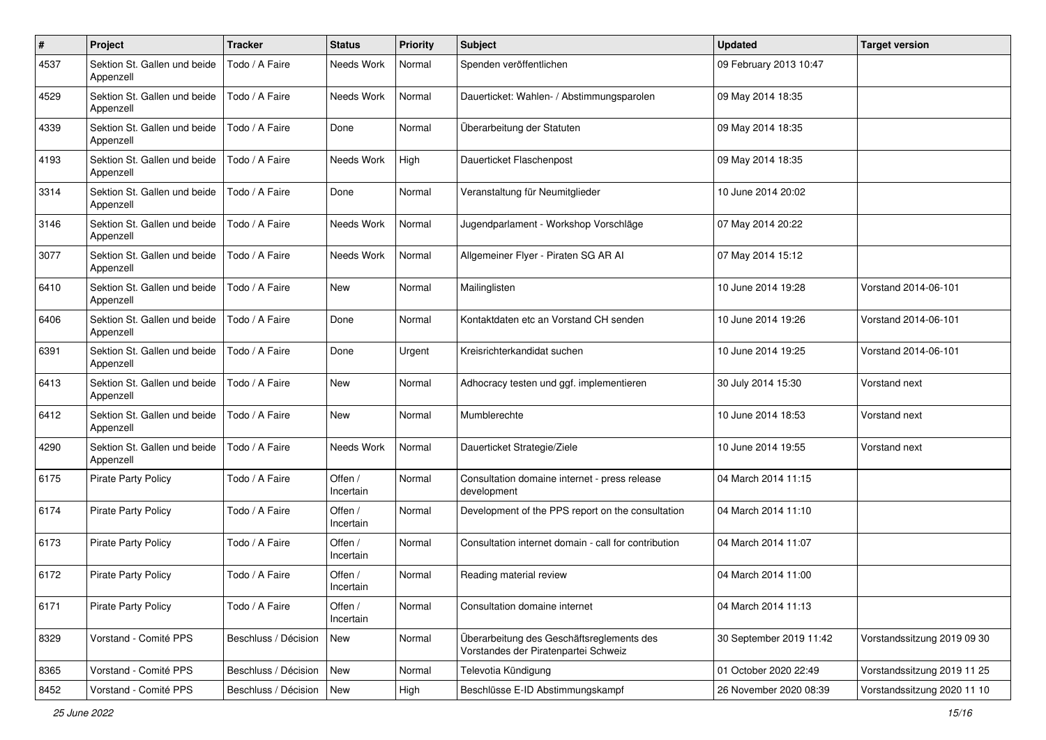| #    | Project                                   | <b>Tracker</b>       | <b>Status</b>        | <b>Priority</b> | Subject                                                                           | <b>Updated</b>          | <b>Target version</b>       |
|------|-------------------------------------------|----------------------|----------------------|-----------------|-----------------------------------------------------------------------------------|-------------------------|-----------------------------|
| 4537 | Sektion St. Gallen und beide<br>Appenzell | Todo / A Faire       | Needs Work           | Normal          | Spenden veröffentlichen                                                           | 09 February 2013 10:47  |                             |
| 4529 | Sektion St. Gallen und beide<br>Appenzell | Todo / A Faire       | Needs Work           | Normal          | Dauerticket: Wahlen- / Abstimmungsparolen                                         | 09 May 2014 18:35       |                             |
| 4339 | Sektion St. Gallen und beide<br>Appenzell | Todo / A Faire       | Done                 | Normal          | Überarbeitung der Statuten                                                        | 09 May 2014 18:35       |                             |
| 4193 | Sektion St. Gallen und beide<br>Appenzell | Todo / A Faire       | Needs Work           | High            | Dauerticket Flaschenpost                                                          | 09 May 2014 18:35       |                             |
| 3314 | Sektion St. Gallen und beide<br>Appenzell | Todo / A Faire       | Done                 | Normal          | Veranstaltung für Neumitglieder                                                   | 10 June 2014 20:02      |                             |
| 3146 | Sektion St. Gallen und beide<br>Appenzell | Todo / A Faire       | Needs Work           | Normal          | Jugendparlament - Workshop Vorschläge                                             | 07 May 2014 20:22       |                             |
| 3077 | Sektion St. Gallen und beide<br>Appenzell | Todo / A Faire       | Needs Work           | Normal          | Allgemeiner Flyer - Piraten SG AR Al                                              | 07 May 2014 15:12       |                             |
| 6410 | Sektion St. Gallen und beide<br>Appenzell | Todo / A Faire       | New                  | Normal          | Mailinglisten                                                                     | 10 June 2014 19:28      | Vorstand 2014-06-101        |
| 6406 | Sektion St. Gallen und beide<br>Appenzell | Todo / A Faire       | Done                 | Normal          | Kontaktdaten etc an Vorstand CH senden                                            | 10 June 2014 19:26      | Vorstand 2014-06-101        |
| 6391 | Sektion St. Gallen und beide<br>Appenzell | Todo / A Faire       | Done                 | Urgent          | Kreisrichterkandidat suchen                                                       | 10 June 2014 19:25      | Vorstand 2014-06-101        |
| 6413 | Sektion St. Gallen und beide<br>Appenzell | Todo / A Faire       | <b>New</b>           | Normal          | Adhocracy testen und ggf. implementieren                                          | 30 July 2014 15:30      | Vorstand next               |
| 6412 | Sektion St. Gallen und beide<br>Appenzell | Todo / A Faire       | New                  | Normal          | Mumblerechte                                                                      | 10 June 2014 18:53      | Vorstand next               |
| 4290 | Sektion St. Gallen und beide<br>Appenzell | Todo / A Faire       | Needs Work           | Normal          | Dauerticket Strategie/Ziele                                                       | 10 June 2014 19:55      | Vorstand next               |
| 6175 | <b>Pirate Party Policy</b>                | Todo / A Faire       | Offen /<br>Incertain | Normal          | Consultation domaine internet - press release<br>development                      | 04 March 2014 11:15     |                             |
| 6174 | <b>Pirate Party Policy</b>                | Todo / A Faire       | Offen /<br>Incertain | Normal          | Development of the PPS report on the consultation                                 | 04 March 2014 11:10     |                             |
| 6173 | <b>Pirate Party Policy</b>                | Todo / A Faire       | Offen /<br>Incertain | Normal          | Consultation internet domain - call for contribution                              | 04 March 2014 11:07     |                             |
| 6172 | <b>Pirate Party Policy</b>                | Todo / A Faire       | Offen /<br>Incertain | Normal          | Reading material review                                                           | 04 March 2014 11:00     |                             |
| 6171 | <b>Pirate Party Policy</b>                | Todo / A Faire       | Offen /<br>Incertain | Normal          | Consultation domaine internet                                                     | 04 March 2014 11:13     |                             |
| 8329 | Vorstand - Comité PPS                     | Beschluss / Décision | New                  | Normal          | Überarbeitung des Geschäftsreglements des<br>Vorstandes der Piratenpartei Schweiz | 30 September 2019 11:42 | Vorstandssitzung 2019 09 30 |
| 8365 | Vorstand - Comité PPS                     | Beschluss / Décision | New                  | Normal          | Televotia Kündigung                                                               | 01 October 2020 22:49   | Vorstandssitzung 2019 11 25 |
| 8452 | Vorstand - Comité PPS                     | Beschluss / Décision | New                  | High            | Beschlüsse E-ID Abstimmungskampf                                                  | 26 November 2020 08:39  | Vorstandssitzung 2020 11 10 |